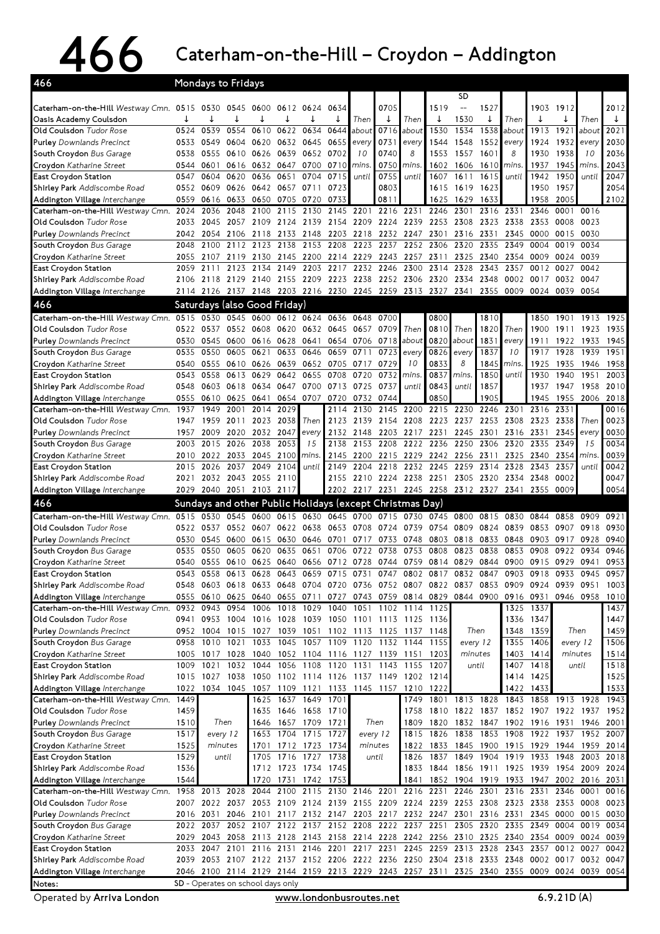## 466 Caterham-on-the-Hill–Croydon–Addington

| SD<br>0705<br>2012<br>0634<br>1519<br>1527<br>1903<br>1912<br>Caterham-on-the-Hill Westway Cmn. 0515 0530 0545<br>0600<br>0612 0624<br>$\overline{\phantom{m}}$<br>↓<br>↓<br>↓<br>↓<br>↓<br>1530<br>Then<br>Then<br>Then<br>Then<br>Oasis Academy Coulsdon<br>0539<br>0554<br>0610<br>1538<br>2021<br>0524<br>0622<br>0634<br>0644<br>about<br>0716<br>about<br>1530<br>1534<br>about<br>1913<br>1921<br>about<br>Old Coulsdon Tudor Rose<br>2030<br>0549<br>0620<br>0632<br>0645<br>0731<br>1552<br>1924<br>1932<br><b>Purley</b> Downlands Precinct<br>0533<br>0604<br>0655<br>1544<br>1548<br>every<br>every<br>every<br>every<br>8<br>8<br>2036<br>10<br>0740<br>1938<br>10<br>South Croydon Bus Garage<br>0555<br>0610<br>0626<br>0639<br>0652<br>0702<br>1553<br>1557<br>1601<br>1930<br>0538<br>2043<br>Croydon Katharine Street<br>0544<br>0601<br>0616<br>0632<br>0647<br>0700<br>0710<br>0750<br>1602<br>1606<br>1610<br>1937<br>1945<br>mins.<br>mins.<br>mins.<br>mins.<br>2047<br>0755<br>1950<br>East Croydon Station<br>0547<br>0604<br>0620<br>0636<br>0651<br>0704<br>0715<br>1607<br>1611<br>1615<br>1942<br>until<br>until<br>until<br>until<br>2054<br>0552 0609<br>0626<br>0642<br>0657 0711<br>0803<br>1619<br>1950<br>1957<br>0723<br>1615<br>1623<br>2005<br>2102<br>0633<br>0650<br>0705<br>0733<br>0811<br>1625<br>1629<br>1633<br>1958<br>Addington Village Interchange<br>0559<br>0616<br>0720<br>2048<br>2100<br>2201<br>2216<br>2231<br>2246<br>2331<br>Caterham-on-the-Hill Westway Cmn.<br>2036<br>2115<br>2130<br>2145<br>2301<br>2316<br>2346<br>0001<br>0016<br>2024<br>2045<br>2057<br>2109<br>2124 2139<br>2154<br>2209<br>2224<br>2239<br>2253 2308<br>2323<br>2338<br>2353<br>0008<br>0023<br>2033<br>2148<br>2218<br>2232<br>2247<br>0030<br>2054<br>2106<br>2118<br>2133<br>2203<br>2301<br>2316<br>2331<br>2345<br>0000<br>0015<br>2042<br>0034<br>2100<br>2112<br>2123<br>2138<br>2153<br>2208<br>2223<br>2237<br>2252<br>2306<br>2320<br>2335<br>2349<br>0004<br>0019<br>2048<br>2229<br>2243<br>2257<br>2311<br>2325<br>2354<br>0039<br>Croydon Katharine Street<br>2055<br>2107<br>2119<br>2130<br>2145<br>2200<br>2214<br>2340<br>0009<br>0024<br>East Croydon Station<br>2123<br>2134<br>2149<br>2203<br>2217<br>2232<br>2246<br>2300<br>2314<br>2328<br>2343<br>2357<br>0027<br>0042<br>2059<br>2111<br>0012<br>2140<br>2155<br>2209<br>2223<br>2238<br>2252<br>2306<br>2348<br>0002<br>0047<br>Shirley Park Addiscombe Road<br>2118<br>2129<br>2320<br>2334<br>0017<br>0032<br>2106<br>2148<br>2203 2216<br>2230<br>2245<br>2259<br>2313<br>2355<br>0009<br>0054<br>Addington Village Interchange<br>2126<br>2137<br>2327<br>2341<br>0024<br>0039<br>2114<br>466<br>Saturdays (also Good Friday)<br>0530 0545 0600 0612 0624 0636<br>Caterham-on-the-Hill Westway Cmn. 0515<br>0700<br>0800<br>1901<br>1913<br>1925<br>0648<br>1810<br>1850<br>0810<br>Old Coulsdon Tudor Rose<br>0522<br>0537<br>0552<br>0608<br>0620<br>0632<br>0657<br>0709<br>Then<br>Then<br>1911<br>1923<br>1935<br>0645<br>Then<br>1820<br>1900<br>0628<br>0654<br>0820<br>1831<br>1933<br><b>Purley</b> Downlands Precinct<br>0530<br>0545<br>0600<br>0616<br>0706<br>0718<br>about<br>about<br>1911<br>1945<br>0641<br>every<br>1922<br>0723<br>1837<br>1951<br>0535<br>0550<br>0605<br>0621<br>0633<br>0646<br>0659<br>0711<br>0826<br>10<br>1917<br>1928<br>1939<br>South Croydon Bus Garage<br>every<br>every<br>8<br>0626<br>0639<br>0652<br>0729<br>10<br>0833<br>1845<br>1946<br>1958<br>Croydon Katharine Street<br>0540<br>0555<br>0610<br>0705<br>0717<br>mins.<br>1925<br>1935<br>0837<br>0543<br>0558<br>0613<br>0629<br>0642<br>0655<br>0708<br>0732<br>1850<br>1930<br>1940<br>1951<br>2003<br>East Croydon Station<br>0720<br>mins.<br>mins.<br>until<br>0618<br>0647 0700<br>0737<br>until<br>0843<br>until<br>1857<br>1958<br>2010<br>Shirley Park Addiscombe Road<br>0548<br>0603<br>0634<br>0713<br>0725<br>1937<br>1947<br>0850<br>0625<br>0654 0707<br>0732<br>0744<br>1905<br>1945<br>1955<br>2006<br>2018<br>Addington Village Interchange<br>0555<br>0610<br>0641<br>0720<br>2331<br>1949<br>2001<br>2014<br>2029<br>2130<br>2145<br>2200<br>2215<br>2230<br>2246<br>2301<br>2316<br>0016<br>Caterham-on-the-Hill Westway Cmn.<br>1937<br>2114<br>0023<br>2023<br>2038<br>Then<br>2139<br>2208<br>2223 2237<br>2253<br>2308<br>2323<br>2338<br>Then<br>Old Coulsdon Tudor Rose<br>1959<br>2011<br>2123<br>2154<br>1947<br>0030<br>2009<br>2020<br>2032<br>2047<br>2148<br>2217<br>2231<br>2245<br>2301<br>2316<br>2331<br>2345<br><b>Purley</b> Downlands Precinct<br>1957<br>2132<br>2203<br>every<br>every<br>2015<br>2038<br>2053<br>15<br>2153<br>2222<br>2320<br>2335<br>2349<br>15<br>0034<br>2026<br>2138<br>2208<br>2236<br>2250<br>2306<br>South Croydon Bus Garage<br>2003<br>0039<br>2022<br>2033<br>2045<br>2100<br>2200<br>2215<br>2229<br>2242 2256<br>2311<br>2325<br>2340<br>2354<br>2010<br>2145<br>mins.<br>mins.<br>0042<br>2026<br>2037<br>2049<br>2104<br>2204<br>2218<br>2232 2245<br>2259<br>2314<br>2328<br>2343<br>2357<br>until<br>until<br>2149<br>2015<br>2032 2043 2055<br>0047<br>2110<br>2155<br>2210 2224<br>2238<br>2251<br>2305<br>2320<br>2334 2348<br>0002<br>2021<br>Addington Village Interchange<br>2040 2051 2103<br>2117<br>2202<br>2217 2231<br>2245 2258 2312 2327<br>2341<br>2355<br>0009<br>0054<br>2029<br>Sundays and other Public Holidays (except Christmas Day)<br>Caterham-on-the-Hill Westway Cmn.<br>0515<br>0530<br>0545<br>0600<br>0615<br>0630 0645<br>0700<br>0715<br>0730<br>0745<br>0800<br>0815<br>0830<br>0844<br>0858<br>0909<br>0921<br>0552 0607<br>0638<br>0653<br>0708<br>0724<br>0739<br>0754<br>0809<br>0824<br>0839<br>0853<br>0907<br>0918<br>0930<br>0522<br>0537<br>0622<br>0928<br>0940<br>0545<br>0600<br>0615<br>0630<br>0646<br>0701<br>0717<br>0733<br>0748<br>0803<br>0818<br>0833<br>0848<br>0903<br>0917<br>0530<br>0620<br>0706<br>0722<br>0823<br>0838<br>0853<br>0922<br>0946<br>0535<br>0550<br>0605<br>0635<br>0651<br>0738<br>0753<br>0808<br>0908<br>0934<br>0728<br>0744<br>0759<br>0814 0829<br>0915<br>0929<br>0953<br>0540<br>0555<br>0610<br>0625<br>0640<br>0656<br>0712<br>0844<br>0900<br>0941<br>East Croydon Station<br>0957<br>0731 0747 0802 0817<br>0903 0918 0933<br>0543<br>0558 0613 0628<br>0643 0659 0715<br>0832<br>0847<br>0945<br>Shirley Park Addiscombe Road<br>0720 0736 0752 0807 0822 0837<br>0853 0909<br>0924 0939 0951<br>1003<br>0603 0618<br>0633<br>0648 0704<br>0548<br>0555 0610 0625 0640<br>0727 0743 0759 0814 0829<br>0844 0900<br>0916 0931<br>0946 0958<br>Addington Village Interchange<br>0655 0711<br>1010<br>1018<br>1029<br>1337<br>1437<br>0932<br>0943<br>0954<br>1006<br>1040<br>1051<br>1102 1114 1125<br>1325<br>Caterham-on-the-Hill Westway Cmn.<br>1004<br>1016 1028 1039 1050 1101 1113 1125 1136<br>1336 1347<br>1447<br>Old Coulsdon Tudor Rose<br>0941<br>0953<br>1459<br>1015<br>1039 1051<br>1102 1113 1125 1137<br>Then<br>1348<br>1359<br>Then<br><b>Purley</b> Downlands Precinct<br>0952<br>1004<br>1027<br>1148<br>1010<br>1045 1057 1109<br>1120 1132 1144<br>0958<br>1021<br>1033<br>1355 1406<br>1506<br>South Croydon Bus Garage<br>1155<br>every 12<br>every 12<br>1052 1104 1116 1127 1139 1151<br>1403 1414<br>1514<br>Croydon Katharine Street<br>1017<br>1028<br>1040<br>1203<br>minutes<br>minutes<br>1005<br>1418<br>1021<br>1032<br>1044<br>1056<br>1108<br>1120<br>1131<br>1143<br>1155<br>1518<br>East Croydon Station<br>1009<br>1207<br>1407<br>until<br>until<br>1525<br>Shirley Park Addiscombe Road<br>1038<br>1050<br>1102 1114 1126<br>1137 1149 1202 1214<br>1425<br>1015 1027<br>1414<br>1533<br>1022 1034 1045 1057<br>1109 1121 1133<br>1145 1157<br>1210 1222<br>1422<br>1433<br>Addington Village Interchange<br>1801 1813 1828<br>1858 1913 1928<br>1449<br>1625<br>1637 1649 1701<br>1749<br>1843<br>1943<br>1459<br>Old Coulsdon Tudor Rose<br>1635<br>1646 1658 1710<br>1758<br>1810 1822 1837 1852 1907 1922 1937<br>1952<br>1510<br>Then<br>1657 1709 1721<br>Then<br>1832 1847<br>1902 1916 1931<br>1809<br>1820<br>1946<br>2001<br>1646<br>1704 1715 1727<br>1838<br>1853 1908<br>1517<br>1653<br>1815 1826<br>1922 1937<br>1952 2007<br>every 12<br>every 12<br>1712 1723 1734<br>1845 1900 1915 1929 1944<br>Croydon Katharine Street<br>1525<br>minutes<br>1701<br>minutes<br>1822<br>1833<br>1959<br>2014<br>East Croydon Station<br>1529<br>until<br>1716 1727<br>1738<br>until<br>1837<br>1849<br>1904<br>1919<br>1933<br>1948<br>2003<br>2018<br>1705<br>1826<br>1723 1734 1745<br>1856 1911 1925<br>1939 1954<br>Shirley Park Addiscombe Road<br>1536<br>1833<br>1844<br>2009<br>2024<br>1712<br>1544<br>1720<br>1731 1742 1753<br>1841 1852 1904 1919 1933 1947 2002 2016 2031<br>Addington Village Interchange<br>2013 2028<br>2044<br>2146 2201 2216 2231<br>Caterham-on-the-Hill Westway Cmn.<br>1958<br>2100<br>2115<br>2130<br>2246<br>2301<br>2316<br>2331<br>2346<br>0001<br>0016<br>Old Coulsdon Tudor Rose<br>2022 2037 2053 2109 2124 2139<br>2155 2209 2224 2239 2253 2308<br>2323 2338 2353<br>0008<br>0023<br>2007<br>Purley Downlands Precinct<br>2046 2101<br>2203 2217 2232 2247 2301<br>2316 2331<br>2345 0000<br>0015 0030<br>2016<br>2031<br>2117 2132 2147<br>2335 2349 0004<br>2052 2107 2122 2137 2152 2208 2222 2237 2251<br>2305 2320<br>South Croydon Bus Garage<br>2037<br>0019<br>0034<br>2022<br>2043<br>0024<br>0039<br>Croydon Katharine Street<br>2029<br>2058 2113 2128 2143 2158 2214 2228<br>2242 2256 2310 2325 2340<br>2354 0009<br>2245 2259<br>2343<br>2357<br>East Croydon Station<br>2033<br>2047<br>2101 2116 2131<br>2146 2201<br>2217 2231<br>2313<br>2328<br>0012<br>0027<br>0042<br>Shirley Park Addiscombe Road<br>2039 2053 2107 2122 2137 2152 2206 2222 2236 2250 2304 2318 2333 2348<br>0002 0017 0032 0047<br>2046 2100 2114 2129 2144 2159 2213 2229 2243 2257 2311 2325 2340 2355 0009 0024 0039 0054<br>Addington Village Interchange<br>SD - Operates on school days only | 466                               | Mondays to Fridays |  |  |  |  |  |  |  |  |
|---------------------------------------------------------------------------------------------------------------------------------------------------------------------------------------------------------------------------------------------------------------------------------------------------------------------------------------------------------------------------------------------------------------------------------------------------------------------------------------------------------------------------------------------------------------------------------------------------------------------------------------------------------------------------------------------------------------------------------------------------------------------------------------------------------------------------------------------------------------------------------------------------------------------------------------------------------------------------------------------------------------------------------------------------------------------------------------------------------------------------------------------------------------------------------------------------------------------------------------------------------------------------------------------------------------------------------------------------------------------------------------------------------------------------------------------------------------------------------------------------------------------------------------------------------------------------------------------------------------------------------------------------------------------------------------------------------------------------------------------------------------------------------------------------------------------------------------------------------------------------------------------------------------------------------------------------------------------------------------------------------------------------------------------------------------------------------------------------------------------------------------------------------------------------------------------------------------------------------------------------------------------------------------------------------------------------------------------------------------------------------------------------------------------------------------------------------------------------------------------------------------------------------------------------------------------------------------------------------------------------------------------------------------------------------------------------------------------------------------------------------------------------------------------------------------------------------------------------------------------------------------------------------------------------------------------------------------------------------------------------------------------------------------------------------------------------------------------------------------------------------------------------------------------------------------------------------------------------------------------------------------------------------------------------------------------------------------------------------------------------------------------------------------------------------------------------------------------------------------------------------------------------------------------------------------------------------------------------------------------------------------------------------------------------------------------------------------------------------------------------------------------------------------------------------------------------------------------------------------------------------------------------------------------------------------------------------------------------------------------------------------------------------------------------------------------------------------------------------------------------------------------------------------------------------------------------------------------------------------------------------------------------------------------------------------------------------------------------------------------------------------------------------------------------------------------------------------------------------------------------------------------------------------------------------------------------------------------------------------------------------------------------------------------------------------------------------------------------------------------------------------------------------------------------------------------------------------------------------------------------------------------------------------------------------------------------------------------------------------------------------------------------------------------------------------------------------------------------------------------------------------------------------------------------------------------------------------------------------------------------------------------------------------------------------------------------------------------------------------------------------------------------------------------------------------------------------------------------------------------------------------------------------------------------------------------------------------------------------------------------------------------------------------------------------------------------------------------------------------------------------------------------------------------------------------------------------------------------------------------------------------------------------------------------------------------------------------------------------------------------------------------------------------------------------------------------------------------------------------------------------------------------------------------------------------------------------------------------------------------------------------------------------------------------------------------------------------------------------------------------------------------------------------------------------------------------------------------------------------------------------------------------------------------------------------------------------------------------------------------------------------------------------------------------------------------------------------------------------------------------------------------------------------------------------------------------------------------------------------------------------------------------------------------------------------------------------------------------------------------------------------------------------------------------------------------------------------------------------------------------------------------------------------------------------------------------------------------------------------------------------------------------------------------------------------------------------------------------------------------------------------------------------------------------------------------------------------------------------------------------------------------------------------------------------------------------------------------------------------------------------------------------------------------------------------------------------------------------------------------------------------------------------------------------------------------------------------------------------------------------------------------------------------------------------------------------------------------------------------------------------------------------------------------------------------------------------------------------------------------------------------------------------------------------------------------------------------------------------------------------------------------------------------------------------------------------------------------------------------------------------------------------------------------------------------------------------------------------------------------------------------------------------------------------------------------------------------------------------------------------------------------------------------------------------------------------------------------------------------------------------------------------------------------------------------------------------------------------------------------------------------------------------------------------------------------------------------------------------------------------------------------------------------------------------------------------------------------------------------------------------------------------------------------------------------------------------------------------------------------------------------------------------------------------------------------------------------------------------------------------------------------------------------------------------------------------------------------------------------------------------------------------------------------------------------------------------------------------------------------------------------------------------------------------------------------------------------------------------------------------------------------------------------------------------------------------------------------------------------------------------------------------------------------------------------------------------------------------------------------------------------------------------------------------------------------------------------|-----------------------------------|--------------------|--|--|--|--|--|--|--|--|
|                                                                                                                                                                                                                                                                                                                                                                                                                                                                                                                                                                                                                                                                                                                                                                                                                                                                                                                                                                                                                                                                                                                                                                                                                                                                                                                                                                                                                                                                                                                                                                                                                                                                                                                                                                                                                                                                                                                                                                                                                                                                                                                                                                                                                                                                                                                                                                                                                                                                                                                                                                                                                                                                                                                                                                                                                                                                                                                                                                                                                                                                                                                                                                                                                                                                                                                                                                                                                                                                                                                                                                                                                                                                                                                                                                                                                                                                                                                                                                                                                                                                                                                                                                                                                                                                                                                                                                                                                                                                                                                                                                                                                                                                                                                                                                                                                                                                                                                                                                                                                                                                                                                                                                                                                                                                                                                                                                                                                                                                                                                                                                                                                                                                                                                                                                                                                                                                                                                                                                                                                                                                                                                                                                                                                                                                                                                                                                                                                                                                                                                                                                                                                                                                                                                                                                                                                                                                                                                                                                                                                                                                                                                                                                                                                                                                                                                                                                                                                                                                                                                                                                                                                                                                                                                                                                                                                                                                                                                                                                                                                                                                                                                                                                                                                                                                                                                                                                                                                                                                                                                                                                                                                                                                                                                                                                                                                                                                                                                                                                                                                                                                                                                                                                                                                                                                                                                                                                                                                                                                                                                                                                                                                                                                                                                                                                                                                                                                                                                                                                                                                                                                                       |                                   |                    |  |  |  |  |  |  |  |  |
|                                                                                                                                                                                                                                                                                                                                                                                                                                                                                                                                                                                                                                                                                                                                                                                                                                                                                                                                                                                                                                                                                                                                                                                                                                                                                                                                                                                                                                                                                                                                                                                                                                                                                                                                                                                                                                                                                                                                                                                                                                                                                                                                                                                                                                                                                                                                                                                                                                                                                                                                                                                                                                                                                                                                                                                                                                                                                                                                                                                                                                                                                                                                                                                                                                                                                                                                                                                                                                                                                                                                                                                                                                                                                                                                                                                                                                                                                                                                                                                                                                                                                                                                                                                                                                                                                                                                                                                                                                                                                                                                                                                                                                                                                                                                                                                                                                                                                                                                                                                                                                                                                                                                                                                                                                                                                                                                                                                                                                                                                                                                                                                                                                                                                                                                                                                                                                                                                                                                                                                                                                                                                                                                                                                                                                                                                                                                                                                                                                                                                                                                                                                                                                                                                                                                                                                                                                                                                                                                                                                                                                                                                                                                                                                                                                                                                                                                                                                                                                                                                                                                                                                                                                                                                                                                                                                                                                                                                                                                                                                                                                                                                                                                                                                                                                                                                                                                                                                                                                                                                                                                                                                                                                                                                                                                                                                                                                                                                                                                                                                                                                                                                                                                                                                                                                                                                                                                                                                                                                                                                                                                                                                                                                                                                                                                                                                                                                                                                                                                                                                                                                                                                       |                                   |                    |  |  |  |  |  |  |  |  |
|                                                                                                                                                                                                                                                                                                                                                                                                                                                                                                                                                                                                                                                                                                                                                                                                                                                                                                                                                                                                                                                                                                                                                                                                                                                                                                                                                                                                                                                                                                                                                                                                                                                                                                                                                                                                                                                                                                                                                                                                                                                                                                                                                                                                                                                                                                                                                                                                                                                                                                                                                                                                                                                                                                                                                                                                                                                                                                                                                                                                                                                                                                                                                                                                                                                                                                                                                                                                                                                                                                                                                                                                                                                                                                                                                                                                                                                                                                                                                                                                                                                                                                                                                                                                                                                                                                                                                                                                                                                                                                                                                                                                                                                                                                                                                                                                                                                                                                                                                                                                                                                                                                                                                                                                                                                                                                                                                                                                                                                                                                                                                                                                                                                                                                                                                                                                                                                                                                                                                                                                                                                                                                                                                                                                                                                                                                                                                                                                                                                                                                                                                                                                                                                                                                                                                                                                                                                                                                                                                                                                                                                                                                                                                                                                                                                                                                                                                                                                                                                                                                                                                                                                                                                                                                                                                                                                                                                                                                                                                                                                                                                                                                                                                                                                                                                                                                                                                                                                                                                                                                                                                                                                                                                                                                                                                                                                                                                                                                                                                                                                                                                                                                                                                                                                                                                                                                                                                                                                                                                                                                                                                                                                                                                                                                                                                                                                                                                                                                                                                                                                                                                                                       |                                   |                    |  |  |  |  |  |  |  |  |
|                                                                                                                                                                                                                                                                                                                                                                                                                                                                                                                                                                                                                                                                                                                                                                                                                                                                                                                                                                                                                                                                                                                                                                                                                                                                                                                                                                                                                                                                                                                                                                                                                                                                                                                                                                                                                                                                                                                                                                                                                                                                                                                                                                                                                                                                                                                                                                                                                                                                                                                                                                                                                                                                                                                                                                                                                                                                                                                                                                                                                                                                                                                                                                                                                                                                                                                                                                                                                                                                                                                                                                                                                                                                                                                                                                                                                                                                                                                                                                                                                                                                                                                                                                                                                                                                                                                                                                                                                                                                                                                                                                                                                                                                                                                                                                                                                                                                                                                                                                                                                                                                                                                                                                                                                                                                                                                                                                                                                                                                                                                                                                                                                                                                                                                                                                                                                                                                                                                                                                                                                                                                                                                                                                                                                                                                                                                                                                                                                                                                                                                                                                                                                                                                                                                                                                                                                                                                                                                                                                                                                                                                                                                                                                                                                                                                                                                                                                                                                                                                                                                                                                                                                                                                                                                                                                                                                                                                                                                                                                                                                                                                                                                                                                                                                                                                                                                                                                                                                                                                                                                                                                                                                                                                                                                                                                                                                                                                                                                                                                                                                                                                                                                                                                                                                                                                                                                                                                                                                                                                                                                                                                                                                                                                                                                                                                                                                                                                                                                                                                                                                                                                                       |                                   |                    |  |  |  |  |  |  |  |  |
|                                                                                                                                                                                                                                                                                                                                                                                                                                                                                                                                                                                                                                                                                                                                                                                                                                                                                                                                                                                                                                                                                                                                                                                                                                                                                                                                                                                                                                                                                                                                                                                                                                                                                                                                                                                                                                                                                                                                                                                                                                                                                                                                                                                                                                                                                                                                                                                                                                                                                                                                                                                                                                                                                                                                                                                                                                                                                                                                                                                                                                                                                                                                                                                                                                                                                                                                                                                                                                                                                                                                                                                                                                                                                                                                                                                                                                                                                                                                                                                                                                                                                                                                                                                                                                                                                                                                                                                                                                                                                                                                                                                                                                                                                                                                                                                                                                                                                                                                                                                                                                                                                                                                                                                                                                                                                                                                                                                                                                                                                                                                                                                                                                                                                                                                                                                                                                                                                                                                                                                                                                                                                                                                                                                                                                                                                                                                                                                                                                                                                                                                                                                                                                                                                                                                                                                                                                                                                                                                                                                                                                                                                                                                                                                                                                                                                                                                                                                                                                                                                                                                                                                                                                                                                                                                                                                                                                                                                                                                                                                                                                                                                                                                                                                                                                                                                                                                                                                                                                                                                                                                                                                                                                                                                                                                                                                                                                                                                                                                                                                                                                                                                                                                                                                                                                                                                                                                                                                                                                                                                                                                                                                                                                                                                                                                                                                                                                                                                                                                                                                                                                                                                       |                                   |                    |  |  |  |  |  |  |  |  |
|                                                                                                                                                                                                                                                                                                                                                                                                                                                                                                                                                                                                                                                                                                                                                                                                                                                                                                                                                                                                                                                                                                                                                                                                                                                                                                                                                                                                                                                                                                                                                                                                                                                                                                                                                                                                                                                                                                                                                                                                                                                                                                                                                                                                                                                                                                                                                                                                                                                                                                                                                                                                                                                                                                                                                                                                                                                                                                                                                                                                                                                                                                                                                                                                                                                                                                                                                                                                                                                                                                                                                                                                                                                                                                                                                                                                                                                                                                                                                                                                                                                                                                                                                                                                                                                                                                                                                                                                                                                                                                                                                                                                                                                                                                                                                                                                                                                                                                                                                                                                                                                                                                                                                                                                                                                                                                                                                                                                                                                                                                                                                                                                                                                                                                                                                                                                                                                                                                                                                                                                                                                                                                                                                                                                                                                                                                                                                                                                                                                                                                                                                                                                                                                                                                                                                                                                                                                                                                                                                                                                                                                                                                                                                                                                                                                                                                                                                                                                                                                                                                                                                                                                                                                                                                                                                                                                                                                                                                                                                                                                                                                                                                                                                                                                                                                                                                                                                                                                                                                                                                                                                                                                                                                                                                                                                                                                                                                                                                                                                                                                                                                                                                                                                                                                                                                                                                                                                                                                                                                                                                                                                                                                                                                                                                                                                                                                                                                                                                                                                                                                                                                                                       |                                   |                    |  |  |  |  |  |  |  |  |
|                                                                                                                                                                                                                                                                                                                                                                                                                                                                                                                                                                                                                                                                                                                                                                                                                                                                                                                                                                                                                                                                                                                                                                                                                                                                                                                                                                                                                                                                                                                                                                                                                                                                                                                                                                                                                                                                                                                                                                                                                                                                                                                                                                                                                                                                                                                                                                                                                                                                                                                                                                                                                                                                                                                                                                                                                                                                                                                                                                                                                                                                                                                                                                                                                                                                                                                                                                                                                                                                                                                                                                                                                                                                                                                                                                                                                                                                                                                                                                                                                                                                                                                                                                                                                                                                                                                                                                                                                                                                                                                                                                                                                                                                                                                                                                                                                                                                                                                                                                                                                                                                                                                                                                                                                                                                                                                                                                                                                                                                                                                                                                                                                                                                                                                                                                                                                                                                                                                                                                                                                                                                                                                                                                                                                                                                                                                                                                                                                                                                                                                                                                                                                                                                                                                                                                                                                                                                                                                                                                                                                                                                                                                                                                                                                                                                                                                                                                                                                                                                                                                                                                                                                                                                                                                                                                                                                                                                                                                                                                                                                                                                                                                                                                                                                                                                                                                                                                                                                                                                                                                                                                                                                                                                                                                                                                                                                                                                                                                                                                                                                                                                                                                                                                                                                                                                                                                                                                                                                                                                                                                                                                                                                                                                                                                                                                                                                                                                                                                                                                                                                                                                                       |                                   |                    |  |  |  |  |  |  |  |  |
|                                                                                                                                                                                                                                                                                                                                                                                                                                                                                                                                                                                                                                                                                                                                                                                                                                                                                                                                                                                                                                                                                                                                                                                                                                                                                                                                                                                                                                                                                                                                                                                                                                                                                                                                                                                                                                                                                                                                                                                                                                                                                                                                                                                                                                                                                                                                                                                                                                                                                                                                                                                                                                                                                                                                                                                                                                                                                                                                                                                                                                                                                                                                                                                                                                                                                                                                                                                                                                                                                                                                                                                                                                                                                                                                                                                                                                                                                                                                                                                                                                                                                                                                                                                                                                                                                                                                                                                                                                                                                                                                                                                                                                                                                                                                                                                                                                                                                                                                                                                                                                                                                                                                                                                                                                                                                                                                                                                                                                                                                                                                                                                                                                                                                                                                                                                                                                                                                                                                                                                                                                                                                                                                                                                                                                                                                                                                                                                                                                                                                                                                                                                                                                                                                                                                                                                                                                                                                                                                                                                                                                                                                                                                                                                                                                                                                                                                                                                                                                                                                                                                                                                                                                                                                                                                                                                                                                                                                                                                                                                                                                                                                                                                                                                                                                                                                                                                                                                                                                                                                                                                                                                                                                                                                                                                                                                                                                                                                                                                                                                                                                                                                                                                                                                                                                                                                                                                                                                                                                                                                                                                                                                                                                                                                                                                                                                                                                                                                                                                                                                                                                                                                       | Shirley Park Addiscombe Road      |                    |  |  |  |  |  |  |  |  |
|                                                                                                                                                                                                                                                                                                                                                                                                                                                                                                                                                                                                                                                                                                                                                                                                                                                                                                                                                                                                                                                                                                                                                                                                                                                                                                                                                                                                                                                                                                                                                                                                                                                                                                                                                                                                                                                                                                                                                                                                                                                                                                                                                                                                                                                                                                                                                                                                                                                                                                                                                                                                                                                                                                                                                                                                                                                                                                                                                                                                                                                                                                                                                                                                                                                                                                                                                                                                                                                                                                                                                                                                                                                                                                                                                                                                                                                                                                                                                                                                                                                                                                                                                                                                                                                                                                                                                                                                                                                                                                                                                                                                                                                                                                                                                                                                                                                                                                                                                                                                                                                                                                                                                                                                                                                                                                                                                                                                                                                                                                                                                                                                                                                                                                                                                                                                                                                                                                                                                                                                                                                                                                                                                                                                                                                                                                                                                                                                                                                                                                                                                                                                                                                                                                                                                                                                                                                                                                                                                                                                                                                                                                                                                                                                                                                                                                                                                                                                                                                                                                                                                                                                                                                                                                                                                                                                                                                                                                                                                                                                                                                                                                                                                                                                                                                                                                                                                                                                                                                                                                                                                                                                                                                                                                                                                                                                                                                                                                                                                                                                                                                                                                                                                                                                                                                                                                                                                                                                                                                                                                                                                                                                                                                                                                                                                                                                                                                                                                                                                                                                                                                                                       |                                   |                    |  |  |  |  |  |  |  |  |
|                                                                                                                                                                                                                                                                                                                                                                                                                                                                                                                                                                                                                                                                                                                                                                                                                                                                                                                                                                                                                                                                                                                                                                                                                                                                                                                                                                                                                                                                                                                                                                                                                                                                                                                                                                                                                                                                                                                                                                                                                                                                                                                                                                                                                                                                                                                                                                                                                                                                                                                                                                                                                                                                                                                                                                                                                                                                                                                                                                                                                                                                                                                                                                                                                                                                                                                                                                                                                                                                                                                                                                                                                                                                                                                                                                                                                                                                                                                                                                                                                                                                                                                                                                                                                                                                                                                                                                                                                                                                                                                                                                                                                                                                                                                                                                                                                                                                                                                                                                                                                                                                                                                                                                                                                                                                                                                                                                                                                                                                                                                                                                                                                                                                                                                                                                                                                                                                                                                                                                                                                                                                                                                                                                                                                                                                                                                                                                                                                                                                                                                                                                                                                                                                                                                                                                                                                                                                                                                                                                                                                                                                                                                                                                                                                                                                                                                                                                                                                                                                                                                                                                                                                                                                                                                                                                                                                                                                                                                                                                                                                                                                                                                                                                                                                                                                                                                                                                                                                                                                                                                                                                                                                                                                                                                                                                                                                                                                                                                                                                                                                                                                                                                                                                                                                                                                                                                                                                                                                                                                                                                                                                                                                                                                                                                                                                                                                                                                                                                                                                                                                                                                                       |                                   |                    |  |  |  |  |  |  |  |  |
|                                                                                                                                                                                                                                                                                                                                                                                                                                                                                                                                                                                                                                                                                                                                                                                                                                                                                                                                                                                                                                                                                                                                                                                                                                                                                                                                                                                                                                                                                                                                                                                                                                                                                                                                                                                                                                                                                                                                                                                                                                                                                                                                                                                                                                                                                                                                                                                                                                                                                                                                                                                                                                                                                                                                                                                                                                                                                                                                                                                                                                                                                                                                                                                                                                                                                                                                                                                                                                                                                                                                                                                                                                                                                                                                                                                                                                                                                                                                                                                                                                                                                                                                                                                                                                                                                                                                                                                                                                                                                                                                                                                                                                                                                                                                                                                                                                                                                                                                                                                                                                                                                                                                                                                                                                                                                                                                                                                                                                                                                                                                                                                                                                                                                                                                                                                                                                                                                                                                                                                                                                                                                                                                                                                                                                                                                                                                                                                                                                                                                                                                                                                                                                                                                                                                                                                                                                                                                                                                                                                                                                                                                                                                                                                                                                                                                                                                                                                                                                                                                                                                                                                                                                                                                                                                                                                                                                                                                                                                                                                                                                                                                                                                                                                                                                                                                                                                                                                                                                                                                                                                                                                                                                                                                                                                                                                                                                                                                                                                                                                                                                                                                                                                                                                                                                                                                                                                                                                                                                                                                                                                                                                                                                                                                                                                                                                                                                                                                                                                                                                                                                                                                       | Old Coulsdon Tudor Rose           |                    |  |  |  |  |  |  |  |  |
|                                                                                                                                                                                                                                                                                                                                                                                                                                                                                                                                                                                                                                                                                                                                                                                                                                                                                                                                                                                                                                                                                                                                                                                                                                                                                                                                                                                                                                                                                                                                                                                                                                                                                                                                                                                                                                                                                                                                                                                                                                                                                                                                                                                                                                                                                                                                                                                                                                                                                                                                                                                                                                                                                                                                                                                                                                                                                                                                                                                                                                                                                                                                                                                                                                                                                                                                                                                                                                                                                                                                                                                                                                                                                                                                                                                                                                                                                                                                                                                                                                                                                                                                                                                                                                                                                                                                                                                                                                                                                                                                                                                                                                                                                                                                                                                                                                                                                                                                                                                                                                                                                                                                                                                                                                                                                                                                                                                                                                                                                                                                                                                                                                                                                                                                                                                                                                                                                                                                                                                                                                                                                                                                                                                                                                                                                                                                                                                                                                                                                                                                                                                                                                                                                                                                                                                                                                                                                                                                                                                                                                                                                                                                                                                                                                                                                                                                                                                                                                                                                                                                                                                                                                                                                                                                                                                                                                                                                                                                                                                                                                                                                                                                                                                                                                                                                                                                                                                                                                                                                                                                                                                                                                                                                                                                                                                                                                                                                                                                                                                                                                                                                                                                                                                                                                                                                                                                                                                                                                                                                                                                                                                                                                                                                                                                                                                                                                                                                                                                                                                                                                                                                       | <b>Purley</b> Downlands Precinct  |                    |  |  |  |  |  |  |  |  |
|                                                                                                                                                                                                                                                                                                                                                                                                                                                                                                                                                                                                                                                                                                                                                                                                                                                                                                                                                                                                                                                                                                                                                                                                                                                                                                                                                                                                                                                                                                                                                                                                                                                                                                                                                                                                                                                                                                                                                                                                                                                                                                                                                                                                                                                                                                                                                                                                                                                                                                                                                                                                                                                                                                                                                                                                                                                                                                                                                                                                                                                                                                                                                                                                                                                                                                                                                                                                                                                                                                                                                                                                                                                                                                                                                                                                                                                                                                                                                                                                                                                                                                                                                                                                                                                                                                                                                                                                                                                                                                                                                                                                                                                                                                                                                                                                                                                                                                                                                                                                                                                                                                                                                                                                                                                                                                                                                                                                                                                                                                                                                                                                                                                                                                                                                                                                                                                                                                                                                                                                                                                                                                                                                                                                                                                                                                                                                                                                                                                                                                                                                                                                                                                                                                                                                                                                                                                                                                                                                                                                                                                                                                                                                                                                                                                                                                                                                                                                                                                                                                                                                                                                                                                                                                                                                                                                                                                                                                                                                                                                                                                                                                                                                                                                                                                                                                                                                                                                                                                                                                                                                                                                                                                                                                                                                                                                                                                                                                                                                                                                                                                                                                                                                                                                                                                                                                                                                                                                                                                                                                                                                                                                                                                                                                                                                                                                                                                                                                                                                                                                                                                                                       | South Croydon Bus Garage          |                    |  |  |  |  |  |  |  |  |
|                                                                                                                                                                                                                                                                                                                                                                                                                                                                                                                                                                                                                                                                                                                                                                                                                                                                                                                                                                                                                                                                                                                                                                                                                                                                                                                                                                                                                                                                                                                                                                                                                                                                                                                                                                                                                                                                                                                                                                                                                                                                                                                                                                                                                                                                                                                                                                                                                                                                                                                                                                                                                                                                                                                                                                                                                                                                                                                                                                                                                                                                                                                                                                                                                                                                                                                                                                                                                                                                                                                                                                                                                                                                                                                                                                                                                                                                                                                                                                                                                                                                                                                                                                                                                                                                                                                                                                                                                                                                                                                                                                                                                                                                                                                                                                                                                                                                                                                                                                                                                                                                                                                                                                                                                                                                                                                                                                                                                                                                                                                                                                                                                                                                                                                                                                                                                                                                                                                                                                                                                                                                                                                                                                                                                                                                                                                                                                                                                                                                                                                                                                                                                                                                                                                                                                                                                                                                                                                                                                                                                                                                                                                                                                                                                                                                                                                                                                                                                                                                                                                                                                                                                                                                                                                                                                                                                                                                                                                                                                                                                                                                                                                                                                                                                                                                                                                                                                                                                                                                                                                                                                                                                                                                                                                                                                                                                                                                                                                                                                                                                                                                                                                                                                                                                                                                                                                                                                                                                                                                                                                                                                                                                                                                                                                                                                                                                                                                                                                                                                                                                                                                                       |                                   |                    |  |  |  |  |  |  |  |  |
|                                                                                                                                                                                                                                                                                                                                                                                                                                                                                                                                                                                                                                                                                                                                                                                                                                                                                                                                                                                                                                                                                                                                                                                                                                                                                                                                                                                                                                                                                                                                                                                                                                                                                                                                                                                                                                                                                                                                                                                                                                                                                                                                                                                                                                                                                                                                                                                                                                                                                                                                                                                                                                                                                                                                                                                                                                                                                                                                                                                                                                                                                                                                                                                                                                                                                                                                                                                                                                                                                                                                                                                                                                                                                                                                                                                                                                                                                                                                                                                                                                                                                                                                                                                                                                                                                                                                                                                                                                                                                                                                                                                                                                                                                                                                                                                                                                                                                                                                                                                                                                                                                                                                                                                                                                                                                                                                                                                                                                                                                                                                                                                                                                                                                                                                                                                                                                                                                                                                                                                                                                                                                                                                                                                                                                                                                                                                                                                                                                                                                                                                                                                                                                                                                                                                                                                                                                                                                                                                                                                                                                                                                                                                                                                                                                                                                                                                                                                                                                                                                                                                                                                                                                                                                                                                                                                                                                                                                                                                                                                                                                                                                                                                                                                                                                                                                                                                                                                                                                                                                                                                                                                                                                                                                                                                                                                                                                                                                                                                                                                                                                                                                                                                                                                                                                                                                                                                                                                                                                                                                                                                                                                                                                                                                                                                                                                                                                                                                                                                                                                                                                                                                       |                                   |                    |  |  |  |  |  |  |  |  |
|                                                                                                                                                                                                                                                                                                                                                                                                                                                                                                                                                                                                                                                                                                                                                                                                                                                                                                                                                                                                                                                                                                                                                                                                                                                                                                                                                                                                                                                                                                                                                                                                                                                                                                                                                                                                                                                                                                                                                                                                                                                                                                                                                                                                                                                                                                                                                                                                                                                                                                                                                                                                                                                                                                                                                                                                                                                                                                                                                                                                                                                                                                                                                                                                                                                                                                                                                                                                                                                                                                                                                                                                                                                                                                                                                                                                                                                                                                                                                                                                                                                                                                                                                                                                                                                                                                                                                                                                                                                                                                                                                                                                                                                                                                                                                                                                                                                                                                                                                                                                                                                                                                                                                                                                                                                                                                                                                                                                                                                                                                                                                                                                                                                                                                                                                                                                                                                                                                                                                                                                                                                                                                                                                                                                                                                                                                                                                                                                                                                                                                                                                                                                                                                                                                                                                                                                                                                                                                                                                                                                                                                                                                                                                                                                                                                                                                                                                                                                                                                                                                                                                                                                                                                                                                                                                                                                                                                                                                                                                                                                                                                                                                                                                                                                                                                                                                                                                                                                                                                                                                                                                                                                                                                                                                                                                                                                                                                                                                                                                                                                                                                                                                                                                                                                                                                                                                                                                                                                                                                                                                                                                                                                                                                                                                                                                                                                                                                                                                                                                                                                                                                                                       |                                   |                    |  |  |  |  |  |  |  |  |
|                                                                                                                                                                                                                                                                                                                                                                                                                                                                                                                                                                                                                                                                                                                                                                                                                                                                                                                                                                                                                                                                                                                                                                                                                                                                                                                                                                                                                                                                                                                                                                                                                                                                                                                                                                                                                                                                                                                                                                                                                                                                                                                                                                                                                                                                                                                                                                                                                                                                                                                                                                                                                                                                                                                                                                                                                                                                                                                                                                                                                                                                                                                                                                                                                                                                                                                                                                                                                                                                                                                                                                                                                                                                                                                                                                                                                                                                                                                                                                                                                                                                                                                                                                                                                                                                                                                                                                                                                                                                                                                                                                                                                                                                                                                                                                                                                                                                                                                                                                                                                                                                                                                                                                                                                                                                                                                                                                                                                                                                                                                                                                                                                                                                                                                                                                                                                                                                                                                                                                                                                                                                                                                                                                                                                                                                                                                                                                                                                                                                                                                                                                                                                                                                                                                                                                                                                                                                                                                                                                                                                                                                                                                                                                                                                                                                                                                                                                                                                                                                                                                                                                                                                                                                                                                                                                                                                                                                                                                                                                                                                                                                                                                                                                                                                                                                                                                                                                                                                                                                                                                                                                                                                                                                                                                                                                                                                                                                                                                                                                                                                                                                                                                                                                                                                                                                                                                                                                                                                                                                                                                                                                                                                                                                                                                                                                                                                                                                                                                                                                                                                                                                                       |                                   |                    |  |  |  |  |  |  |  |  |
|                                                                                                                                                                                                                                                                                                                                                                                                                                                                                                                                                                                                                                                                                                                                                                                                                                                                                                                                                                                                                                                                                                                                                                                                                                                                                                                                                                                                                                                                                                                                                                                                                                                                                                                                                                                                                                                                                                                                                                                                                                                                                                                                                                                                                                                                                                                                                                                                                                                                                                                                                                                                                                                                                                                                                                                                                                                                                                                                                                                                                                                                                                                                                                                                                                                                                                                                                                                                                                                                                                                                                                                                                                                                                                                                                                                                                                                                                                                                                                                                                                                                                                                                                                                                                                                                                                                                                                                                                                                                                                                                                                                                                                                                                                                                                                                                                                                                                                                                                                                                                                                                                                                                                                                                                                                                                                                                                                                                                                                                                                                                                                                                                                                                                                                                                                                                                                                                                                                                                                                                                                                                                                                                                                                                                                                                                                                                                                                                                                                                                                                                                                                                                                                                                                                                                                                                                                                                                                                                                                                                                                                                                                                                                                                                                                                                                                                                                                                                                                                                                                                                                                                                                                                                                                                                                                                                                                                                                                                                                                                                                                                                                                                                                                                                                                                                                                                                                                                                                                                                                                                                                                                                                                                                                                                                                                                                                                                                                                                                                                                                                                                                                                                                                                                                                                                                                                                                                                                                                                                                                                                                                                                                                                                                                                                                                                                                                                                                                                                                                                                                                                                                                       |                                   |                    |  |  |  |  |  |  |  |  |
|                                                                                                                                                                                                                                                                                                                                                                                                                                                                                                                                                                                                                                                                                                                                                                                                                                                                                                                                                                                                                                                                                                                                                                                                                                                                                                                                                                                                                                                                                                                                                                                                                                                                                                                                                                                                                                                                                                                                                                                                                                                                                                                                                                                                                                                                                                                                                                                                                                                                                                                                                                                                                                                                                                                                                                                                                                                                                                                                                                                                                                                                                                                                                                                                                                                                                                                                                                                                                                                                                                                                                                                                                                                                                                                                                                                                                                                                                                                                                                                                                                                                                                                                                                                                                                                                                                                                                                                                                                                                                                                                                                                                                                                                                                                                                                                                                                                                                                                                                                                                                                                                                                                                                                                                                                                                                                                                                                                                                                                                                                                                                                                                                                                                                                                                                                                                                                                                                                                                                                                                                                                                                                                                                                                                                                                                                                                                                                                                                                                                                                                                                                                                                                                                                                                                                                                                                                                                                                                                                                                                                                                                                                                                                                                                                                                                                                                                                                                                                                                                                                                                                                                                                                                                                                                                                                                                                                                                                                                                                                                                                                                                                                                                                                                                                                                                                                                                                                                                                                                                                                                                                                                                                                                                                                                                                                                                                                                                                                                                                                                                                                                                                                                                                                                                                                                                                                                                                                                                                                                                                                                                                                                                                                                                                                                                                                                                                                                                                                                                                                                                                                                                                       |                                   |                    |  |  |  |  |  |  |  |  |
|                                                                                                                                                                                                                                                                                                                                                                                                                                                                                                                                                                                                                                                                                                                                                                                                                                                                                                                                                                                                                                                                                                                                                                                                                                                                                                                                                                                                                                                                                                                                                                                                                                                                                                                                                                                                                                                                                                                                                                                                                                                                                                                                                                                                                                                                                                                                                                                                                                                                                                                                                                                                                                                                                                                                                                                                                                                                                                                                                                                                                                                                                                                                                                                                                                                                                                                                                                                                                                                                                                                                                                                                                                                                                                                                                                                                                                                                                                                                                                                                                                                                                                                                                                                                                                                                                                                                                                                                                                                                                                                                                                                                                                                                                                                                                                                                                                                                                                                                                                                                                                                                                                                                                                                                                                                                                                                                                                                                                                                                                                                                                                                                                                                                                                                                                                                                                                                                                                                                                                                                                                                                                                                                                                                                                                                                                                                                                                                                                                                                                                                                                                                                                                                                                                                                                                                                                                                                                                                                                                                                                                                                                                                                                                                                                                                                                                                                                                                                                                                                                                                                                                                                                                                                                                                                                                                                                                                                                                                                                                                                                                                                                                                                                                                                                                                                                                                                                                                                                                                                                                                                                                                                                                                                                                                                                                                                                                                                                                                                                                                                                                                                                                                                                                                                                                                                                                                                                                                                                                                                                                                                                                                                                                                                                                                                                                                                                                                                                                                                                                                                                                                                                       |                                   |                    |  |  |  |  |  |  |  |  |
|                                                                                                                                                                                                                                                                                                                                                                                                                                                                                                                                                                                                                                                                                                                                                                                                                                                                                                                                                                                                                                                                                                                                                                                                                                                                                                                                                                                                                                                                                                                                                                                                                                                                                                                                                                                                                                                                                                                                                                                                                                                                                                                                                                                                                                                                                                                                                                                                                                                                                                                                                                                                                                                                                                                                                                                                                                                                                                                                                                                                                                                                                                                                                                                                                                                                                                                                                                                                                                                                                                                                                                                                                                                                                                                                                                                                                                                                                                                                                                                                                                                                                                                                                                                                                                                                                                                                                                                                                                                                                                                                                                                                                                                                                                                                                                                                                                                                                                                                                                                                                                                                                                                                                                                                                                                                                                                                                                                                                                                                                                                                                                                                                                                                                                                                                                                                                                                                                                                                                                                                                                                                                                                                                                                                                                                                                                                                                                                                                                                                                                                                                                                                                                                                                                                                                                                                                                                                                                                                                                                                                                                                                                                                                                                                                                                                                                                                                                                                                                                                                                                                                                                                                                                                                                                                                                                                                                                                                                                                                                                                                                                                                                                                                                                                                                                                                                                                                                                                                                                                                                                                                                                                                                                                                                                                                                                                                                                                                                                                                                                                                                                                                                                                                                                                                                                                                                                                                                                                                                                                                                                                                                                                                                                                                                                                                                                                                                                                                                                                                                                                                                                                                       |                                   |                    |  |  |  |  |  |  |  |  |
|                                                                                                                                                                                                                                                                                                                                                                                                                                                                                                                                                                                                                                                                                                                                                                                                                                                                                                                                                                                                                                                                                                                                                                                                                                                                                                                                                                                                                                                                                                                                                                                                                                                                                                                                                                                                                                                                                                                                                                                                                                                                                                                                                                                                                                                                                                                                                                                                                                                                                                                                                                                                                                                                                                                                                                                                                                                                                                                                                                                                                                                                                                                                                                                                                                                                                                                                                                                                                                                                                                                                                                                                                                                                                                                                                                                                                                                                                                                                                                                                                                                                                                                                                                                                                                                                                                                                                                                                                                                                                                                                                                                                                                                                                                                                                                                                                                                                                                                                                                                                                                                                                                                                                                                                                                                                                                                                                                                                                                                                                                                                                                                                                                                                                                                                                                                                                                                                                                                                                                                                                                                                                                                                                                                                                                                                                                                                                                                                                                                                                                                                                                                                                                                                                                                                                                                                                                                                                                                                                                                                                                                                                                                                                                                                                                                                                                                                                                                                                                                                                                                                                                                                                                                                                                                                                                                                                                                                                                                                                                                                                                                                                                                                                                                                                                                                                                                                                                                                                                                                                                                                                                                                                                                                                                                                                                                                                                                                                                                                                                                                                                                                                                                                                                                                                                                                                                                                                                                                                                                                                                                                                                                                                                                                                                                                                                                                                                                                                                                                                                                                                                                                                       |                                   |                    |  |  |  |  |  |  |  |  |
|                                                                                                                                                                                                                                                                                                                                                                                                                                                                                                                                                                                                                                                                                                                                                                                                                                                                                                                                                                                                                                                                                                                                                                                                                                                                                                                                                                                                                                                                                                                                                                                                                                                                                                                                                                                                                                                                                                                                                                                                                                                                                                                                                                                                                                                                                                                                                                                                                                                                                                                                                                                                                                                                                                                                                                                                                                                                                                                                                                                                                                                                                                                                                                                                                                                                                                                                                                                                                                                                                                                                                                                                                                                                                                                                                                                                                                                                                                                                                                                                                                                                                                                                                                                                                                                                                                                                                                                                                                                                                                                                                                                                                                                                                                                                                                                                                                                                                                                                                                                                                                                                                                                                                                                                                                                                                                                                                                                                                                                                                                                                                                                                                                                                                                                                                                                                                                                                                                                                                                                                                                                                                                                                                                                                                                                                                                                                                                                                                                                                                                                                                                                                                                                                                                                                                                                                                                                                                                                                                                                                                                                                                                                                                                                                                                                                                                                                                                                                                                                                                                                                                                                                                                                                                                                                                                                                                                                                                                                                                                                                                                                                                                                                                                                                                                                                                                                                                                                                                                                                                                                                                                                                                                                                                                                                                                                                                                                                                                                                                                                                                                                                                                                                                                                                                                                                                                                                                                                                                                                                                                                                                                                                                                                                                                                                                                                                                                                                                                                                                                                                                                                                                       |                                   |                    |  |  |  |  |  |  |  |  |
|                                                                                                                                                                                                                                                                                                                                                                                                                                                                                                                                                                                                                                                                                                                                                                                                                                                                                                                                                                                                                                                                                                                                                                                                                                                                                                                                                                                                                                                                                                                                                                                                                                                                                                                                                                                                                                                                                                                                                                                                                                                                                                                                                                                                                                                                                                                                                                                                                                                                                                                                                                                                                                                                                                                                                                                                                                                                                                                                                                                                                                                                                                                                                                                                                                                                                                                                                                                                                                                                                                                                                                                                                                                                                                                                                                                                                                                                                                                                                                                                                                                                                                                                                                                                                                                                                                                                                                                                                                                                                                                                                                                                                                                                                                                                                                                                                                                                                                                                                                                                                                                                                                                                                                                                                                                                                                                                                                                                                                                                                                                                                                                                                                                                                                                                                                                                                                                                                                                                                                                                                                                                                                                                                                                                                                                                                                                                                                                                                                                                                                                                                                                                                                                                                                                                                                                                                                                                                                                                                                                                                                                                                                                                                                                                                                                                                                                                                                                                                                                                                                                                                                                                                                                                                                                                                                                                                                                                                                                                                                                                                                                                                                                                                                                                                                                                                                                                                                                                                                                                                                                                                                                                                                                                                                                                                                                                                                                                                                                                                                                                                                                                                                                                                                                                                                                                                                                                                                                                                                                                                                                                                                                                                                                                                                                                                                                                                                                                                                                                                                                                                                                                                       |                                   |                    |  |  |  |  |  |  |  |  |
|                                                                                                                                                                                                                                                                                                                                                                                                                                                                                                                                                                                                                                                                                                                                                                                                                                                                                                                                                                                                                                                                                                                                                                                                                                                                                                                                                                                                                                                                                                                                                                                                                                                                                                                                                                                                                                                                                                                                                                                                                                                                                                                                                                                                                                                                                                                                                                                                                                                                                                                                                                                                                                                                                                                                                                                                                                                                                                                                                                                                                                                                                                                                                                                                                                                                                                                                                                                                                                                                                                                                                                                                                                                                                                                                                                                                                                                                                                                                                                                                                                                                                                                                                                                                                                                                                                                                                                                                                                                                                                                                                                                                                                                                                                                                                                                                                                                                                                                                                                                                                                                                                                                                                                                                                                                                                                                                                                                                                                                                                                                                                                                                                                                                                                                                                                                                                                                                                                                                                                                                                                                                                                                                                                                                                                                                                                                                                                                                                                                                                                                                                                                                                                                                                                                                                                                                                                                                                                                                                                                                                                                                                                                                                                                                                                                                                                                                                                                                                                                                                                                                                                                                                                                                                                                                                                                                                                                                                                                                                                                                                                                                                                                                                                                                                                                                                                                                                                                                                                                                                                                                                                                                                                                                                                                                                                                                                                                                                                                                                                                                                                                                                                                                                                                                                                                                                                                                                                                                                                                                                                                                                                                                                                                                                                                                                                                                                                                                                                                                                                                                                                                                                       |                                   |                    |  |  |  |  |  |  |  |  |
|                                                                                                                                                                                                                                                                                                                                                                                                                                                                                                                                                                                                                                                                                                                                                                                                                                                                                                                                                                                                                                                                                                                                                                                                                                                                                                                                                                                                                                                                                                                                                                                                                                                                                                                                                                                                                                                                                                                                                                                                                                                                                                                                                                                                                                                                                                                                                                                                                                                                                                                                                                                                                                                                                                                                                                                                                                                                                                                                                                                                                                                                                                                                                                                                                                                                                                                                                                                                                                                                                                                                                                                                                                                                                                                                                                                                                                                                                                                                                                                                                                                                                                                                                                                                                                                                                                                                                                                                                                                                                                                                                                                                                                                                                                                                                                                                                                                                                                                                                                                                                                                                                                                                                                                                                                                                                                                                                                                                                                                                                                                                                                                                                                                                                                                                                                                                                                                                                                                                                                                                                                                                                                                                                                                                                                                                                                                                                                                                                                                                                                                                                                                                                                                                                                                                                                                                                                                                                                                                                                                                                                                                                                                                                                                                                                                                                                                                                                                                                                                                                                                                                                                                                                                                                                                                                                                                                                                                                                                                                                                                                                                                                                                                                                                                                                                                                                                                                                                                                                                                                                                                                                                                                                                                                                                                                                                                                                                                                                                                                                                                                                                                                                                                                                                                                                                                                                                                                                                                                                                                                                                                                                                                                                                                                                                                                                                                                                                                                                                                                                                                                                                                                       |                                   |                    |  |  |  |  |  |  |  |  |
|                                                                                                                                                                                                                                                                                                                                                                                                                                                                                                                                                                                                                                                                                                                                                                                                                                                                                                                                                                                                                                                                                                                                                                                                                                                                                                                                                                                                                                                                                                                                                                                                                                                                                                                                                                                                                                                                                                                                                                                                                                                                                                                                                                                                                                                                                                                                                                                                                                                                                                                                                                                                                                                                                                                                                                                                                                                                                                                                                                                                                                                                                                                                                                                                                                                                                                                                                                                                                                                                                                                                                                                                                                                                                                                                                                                                                                                                                                                                                                                                                                                                                                                                                                                                                                                                                                                                                                                                                                                                                                                                                                                                                                                                                                                                                                                                                                                                                                                                                                                                                                                                                                                                                                                                                                                                                                                                                                                                                                                                                                                                                                                                                                                                                                                                                                                                                                                                                                                                                                                                                                                                                                                                                                                                                                                                                                                                                                                                                                                                                                                                                                                                                                                                                                                                                                                                                                                                                                                                                                                                                                                                                                                                                                                                                                                                                                                                                                                                                                                                                                                                                                                                                                                                                                                                                                                                                                                                                                                                                                                                                                                                                                                                                                                                                                                                                                                                                                                                                                                                                                                                                                                                                                                                                                                                                                                                                                                                                                                                                                                                                                                                                                                                                                                                                                                                                                                                                                                                                                                                                                                                                                                                                                                                                                                                                                                                                                                                                                                                                                                                                                                                                       |                                   |                    |  |  |  |  |  |  |  |  |
|                                                                                                                                                                                                                                                                                                                                                                                                                                                                                                                                                                                                                                                                                                                                                                                                                                                                                                                                                                                                                                                                                                                                                                                                                                                                                                                                                                                                                                                                                                                                                                                                                                                                                                                                                                                                                                                                                                                                                                                                                                                                                                                                                                                                                                                                                                                                                                                                                                                                                                                                                                                                                                                                                                                                                                                                                                                                                                                                                                                                                                                                                                                                                                                                                                                                                                                                                                                                                                                                                                                                                                                                                                                                                                                                                                                                                                                                                                                                                                                                                                                                                                                                                                                                                                                                                                                                                                                                                                                                                                                                                                                                                                                                                                                                                                                                                                                                                                                                                                                                                                                                                                                                                                                                                                                                                                                                                                                                                                                                                                                                                                                                                                                                                                                                                                                                                                                                                                                                                                                                                                                                                                                                                                                                                                                                                                                                                                                                                                                                                                                                                                                                                                                                                                                                                                                                                                                                                                                                                                                                                                                                                                                                                                                                                                                                                                                                                                                                                                                                                                                                                                                                                                                                                                                                                                                                                                                                                                                                                                                                                                                                                                                                                                                                                                                                                                                                                                                                                                                                                                                                                                                                                                                                                                                                                                                                                                                                                                                                                                                                                                                                                                                                                                                                                                                                                                                                                                                                                                                                                                                                                                                                                                                                                                                                                                                                                                                                                                                                                                                                                                                                                       |                                   |                    |  |  |  |  |  |  |  |  |
|                                                                                                                                                                                                                                                                                                                                                                                                                                                                                                                                                                                                                                                                                                                                                                                                                                                                                                                                                                                                                                                                                                                                                                                                                                                                                                                                                                                                                                                                                                                                                                                                                                                                                                                                                                                                                                                                                                                                                                                                                                                                                                                                                                                                                                                                                                                                                                                                                                                                                                                                                                                                                                                                                                                                                                                                                                                                                                                                                                                                                                                                                                                                                                                                                                                                                                                                                                                                                                                                                                                                                                                                                                                                                                                                                                                                                                                                                                                                                                                                                                                                                                                                                                                                                                                                                                                                                                                                                                                                                                                                                                                                                                                                                                                                                                                                                                                                                                                                                                                                                                                                                                                                                                                                                                                                                                                                                                                                                                                                                                                                                                                                                                                                                                                                                                                                                                                                                                                                                                                                                                                                                                                                                                                                                                                                                                                                                                                                                                                                                                                                                                                                                                                                                                                                                                                                                                                                                                                                                                                                                                                                                                                                                                                                                                                                                                                                                                                                                                                                                                                                                                                                                                                                                                                                                                                                                                                                                                                                                                                                                                                                                                                                                                                                                                                                                                                                                                                                                                                                                                                                                                                                                                                                                                                                                                                                                                                                                                                                                                                                                                                                                                                                                                                                                                                                                                                                                                                                                                                                                                                                                                                                                                                                                                                                                                                                                                                                                                                                                                                                                                                                                       |                                   |                    |  |  |  |  |  |  |  |  |
|                                                                                                                                                                                                                                                                                                                                                                                                                                                                                                                                                                                                                                                                                                                                                                                                                                                                                                                                                                                                                                                                                                                                                                                                                                                                                                                                                                                                                                                                                                                                                                                                                                                                                                                                                                                                                                                                                                                                                                                                                                                                                                                                                                                                                                                                                                                                                                                                                                                                                                                                                                                                                                                                                                                                                                                                                                                                                                                                                                                                                                                                                                                                                                                                                                                                                                                                                                                                                                                                                                                                                                                                                                                                                                                                                                                                                                                                                                                                                                                                                                                                                                                                                                                                                                                                                                                                                                                                                                                                                                                                                                                                                                                                                                                                                                                                                                                                                                                                                                                                                                                                                                                                                                                                                                                                                                                                                                                                                                                                                                                                                                                                                                                                                                                                                                                                                                                                                                                                                                                                                                                                                                                                                                                                                                                                                                                                                                                                                                                                                                                                                                                                                                                                                                                                                                                                                                                                                                                                                                                                                                                                                                                                                                                                                                                                                                                                                                                                                                                                                                                                                                                                                                                                                                                                                                                                                                                                                                                                                                                                                                                                                                                                                                                                                                                                                                                                                                                                                                                                                                                                                                                                                                                                                                                                                                                                                                                                                                                                                                                                                                                                                                                                                                                                                                                                                                                                                                                                                                                                                                                                                                                                                                                                                                                                                                                                                                                                                                                                                                                                                                                                                       | Croydon Katharine Street          |                    |  |  |  |  |  |  |  |  |
|                                                                                                                                                                                                                                                                                                                                                                                                                                                                                                                                                                                                                                                                                                                                                                                                                                                                                                                                                                                                                                                                                                                                                                                                                                                                                                                                                                                                                                                                                                                                                                                                                                                                                                                                                                                                                                                                                                                                                                                                                                                                                                                                                                                                                                                                                                                                                                                                                                                                                                                                                                                                                                                                                                                                                                                                                                                                                                                                                                                                                                                                                                                                                                                                                                                                                                                                                                                                                                                                                                                                                                                                                                                                                                                                                                                                                                                                                                                                                                                                                                                                                                                                                                                                                                                                                                                                                                                                                                                                                                                                                                                                                                                                                                                                                                                                                                                                                                                                                                                                                                                                                                                                                                                                                                                                                                                                                                                                                                                                                                                                                                                                                                                                                                                                                                                                                                                                                                                                                                                                                                                                                                                                                                                                                                                                                                                                                                                                                                                                                                                                                                                                                                                                                                                                                                                                                                                                                                                                                                                                                                                                                                                                                                                                                                                                                                                                                                                                                                                                                                                                                                                                                                                                                                                                                                                                                                                                                                                                                                                                                                                                                                                                                                                                                                                                                                                                                                                                                                                                                                                                                                                                                                                                                                                                                                                                                                                                                                                                                                                                                                                                                                                                                                                                                                                                                                                                                                                                                                                                                                                                                                                                                                                                                                                                                                                                                                                                                                                                                                                                                                                                                       | <b>East Croydon Station</b>       |                    |  |  |  |  |  |  |  |  |
|                                                                                                                                                                                                                                                                                                                                                                                                                                                                                                                                                                                                                                                                                                                                                                                                                                                                                                                                                                                                                                                                                                                                                                                                                                                                                                                                                                                                                                                                                                                                                                                                                                                                                                                                                                                                                                                                                                                                                                                                                                                                                                                                                                                                                                                                                                                                                                                                                                                                                                                                                                                                                                                                                                                                                                                                                                                                                                                                                                                                                                                                                                                                                                                                                                                                                                                                                                                                                                                                                                                                                                                                                                                                                                                                                                                                                                                                                                                                                                                                                                                                                                                                                                                                                                                                                                                                                                                                                                                                                                                                                                                                                                                                                                                                                                                                                                                                                                                                                                                                                                                                                                                                                                                                                                                                                                                                                                                                                                                                                                                                                                                                                                                                                                                                                                                                                                                                                                                                                                                                                                                                                                                                                                                                                                                                                                                                                                                                                                                                                                                                                                                                                                                                                                                                                                                                                                                                                                                                                                                                                                                                                                                                                                                                                                                                                                                                                                                                                                                                                                                                                                                                                                                                                                                                                                                                                                                                                                                                                                                                                                                                                                                                                                                                                                                                                                                                                                                                                                                                                                                                                                                                                                                                                                                                                                                                                                                                                                                                                                                                                                                                                                                                                                                                                                                                                                                                                                                                                                                                                                                                                                                                                                                                                                                                                                                                                                                                                                                                                                                                                                                                                       | Shirley Park Addiscombe Road      |                    |  |  |  |  |  |  |  |  |
|                                                                                                                                                                                                                                                                                                                                                                                                                                                                                                                                                                                                                                                                                                                                                                                                                                                                                                                                                                                                                                                                                                                                                                                                                                                                                                                                                                                                                                                                                                                                                                                                                                                                                                                                                                                                                                                                                                                                                                                                                                                                                                                                                                                                                                                                                                                                                                                                                                                                                                                                                                                                                                                                                                                                                                                                                                                                                                                                                                                                                                                                                                                                                                                                                                                                                                                                                                                                                                                                                                                                                                                                                                                                                                                                                                                                                                                                                                                                                                                                                                                                                                                                                                                                                                                                                                                                                                                                                                                                                                                                                                                                                                                                                                                                                                                                                                                                                                                                                                                                                                                                                                                                                                                                                                                                                                                                                                                                                                                                                                                                                                                                                                                                                                                                                                                                                                                                                                                                                                                                                                                                                                                                                                                                                                                                                                                                                                                                                                                                                                                                                                                                                                                                                                                                                                                                                                                                                                                                                                                                                                                                                                                                                                                                                                                                                                                                                                                                                                                                                                                                                                                                                                                                                                                                                                                                                                                                                                                                                                                                                                                                                                                                                                                                                                                                                                                                                                                                                                                                                                                                                                                                                                                                                                                                                                                                                                                                                                                                                                                                                                                                                                                                                                                                                                                                                                                                                                                                                                                                                                                                                                                                                                                                                                                                                                                                                                                                                                                                                                                                                                                                                       |                                   |                    |  |  |  |  |  |  |  |  |
|                                                                                                                                                                                                                                                                                                                                                                                                                                                                                                                                                                                                                                                                                                                                                                                                                                                                                                                                                                                                                                                                                                                                                                                                                                                                                                                                                                                                                                                                                                                                                                                                                                                                                                                                                                                                                                                                                                                                                                                                                                                                                                                                                                                                                                                                                                                                                                                                                                                                                                                                                                                                                                                                                                                                                                                                                                                                                                                                                                                                                                                                                                                                                                                                                                                                                                                                                                                                                                                                                                                                                                                                                                                                                                                                                                                                                                                                                                                                                                                                                                                                                                                                                                                                                                                                                                                                                                                                                                                                                                                                                                                                                                                                                                                                                                                                                                                                                                                                                                                                                                                                                                                                                                                                                                                                                                                                                                                                                                                                                                                                                                                                                                                                                                                                                                                                                                                                                                                                                                                                                                                                                                                                                                                                                                                                                                                                                                                                                                                                                                                                                                                                                                                                                                                                                                                                                                                                                                                                                                                                                                                                                                                                                                                                                                                                                                                                                                                                                                                                                                                                                                                                                                                                                                                                                                                                                                                                                                                                                                                                                                                                                                                                                                                                                                                                                                                                                                                                                                                                                                                                                                                                                                                                                                                                                                                                                                                                                                                                                                                                                                                                                                                                                                                                                                                                                                                                                                                                                                                                                                                                                                                                                                                                                                                                                                                                                                                                                                                                                                                                                                                                                       | 466                               |                    |  |  |  |  |  |  |  |  |
|                                                                                                                                                                                                                                                                                                                                                                                                                                                                                                                                                                                                                                                                                                                                                                                                                                                                                                                                                                                                                                                                                                                                                                                                                                                                                                                                                                                                                                                                                                                                                                                                                                                                                                                                                                                                                                                                                                                                                                                                                                                                                                                                                                                                                                                                                                                                                                                                                                                                                                                                                                                                                                                                                                                                                                                                                                                                                                                                                                                                                                                                                                                                                                                                                                                                                                                                                                                                                                                                                                                                                                                                                                                                                                                                                                                                                                                                                                                                                                                                                                                                                                                                                                                                                                                                                                                                                                                                                                                                                                                                                                                                                                                                                                                                                                                                                                                                                                                                                                                                                                                                                                                                                                                                                                                                                                                                                                                                                                                                                                                                                                                                                                                                                                                                                                                                                                                                                                                                                                                                                                                                                                                                                                                                                                                                                                                                                                                                                                                                                                                                                                                                                                                                                                                                                                                                                                                                                                                                                                                                                                                                                                                                                                                                                                                                                                                                                                                                                                                                                                                                                                                                                                                                                                                                                                                                                                                                                                                                                                                                                                                                                                                                                                                                                                                                                                                                                                                                                                                                                                                                                                                                                                                                                                                                                                                                                                                                                                                                                                                                                                                                                                                                                                                                                                                                                                                                                                                                                                                                                                                                                                                                                                                                                                                                                                                                                                                                                                                                                                                                                                                                                       |                                   |                    |  |  |  |  |  |  |  |  |
|                                                                                                                                                                                                                                                                                                                                                                                                                                                                                                                                                                                                                                                                                                                                                                                                                                                                                                                                                                                                                                                                                                                                                                                                                                                                                                                                                                                                                                                                                                                                                                                                                                                                                                                                                                                                                                                                                                                                                                                                                                                                                                                                                                                                                                                                                                                                                                                                                                                                                                                                                                                                                                                                                                                                                                                                                                                                                                                                                                                                                                                                                                                                                                                                                                                                                                                                                                                                                                                                                                                                                                                                                                                                                                                                                                                                                                                                                                                                                                                                                                                                                                                                                                                                                                                                                                                                                                                                                                                                                                                                                                                                                                                                                                                                                                                                                                                                                                                                                                                                                                                                                                                                                                                                                                                                                                                                                                                                                                                                                                                                                                                                                                                                                                                                                                                                                                                                                                                                                                                                                                                                                                                                                                                                                                                                                                                                                                                                                                                                                                                                                                                                                                                                                                                                                                                                                                                                                                                                                                                                                                                                                                                                                                                                                                                                                                                                                                                                                                                                                                                                                                                                                                                                                                                                                                                                                                                                                                                                                                                                                                                                                                                                                                                                                                                                                                                                                                                                                                                                                                                                                                                                                                                                                                                                                                                                                                                                                                                                                                                                                                                                                                                                                                                                                                                                                                                                                                                                                                                                                                                                                                                                                                                                                                                                                                                                                                                                                                                                                                                                                                                                                       | Old Coulsdon Tudor Rose           |                    |  |  |  |  |  |  |  |  |
|                                                                                                                                                                                                                                                                                                                                                                                                                                                                                                                                                                                                                                                                                                                                                                                                                                                                                                                                                                                                                                                                                                                                                                                                                                                                                                                                                                                                                                                                                                                                                                                                                                                                                                                                                                                                                                                                                                                                                                                                                                                                                                                                                                                                                                                                                                                                                                                                                                                                                                                                                                                                                                                                                                                                                                                                                                                                                                                                                                                                                                                                                                                                                                                                                                                                                                                                                                                                                                                                                                                                                                                                                                                                                                                                                                                                                                                                                                                                                                                                                                                                                                                                                                                                                                                                                                                                                                                                                                                                                                                                                                                                                                                                                                                                                                                                                                                                                                                                                                                                                                                                                                                                                                                                                                                                                                                                                                                                                                                                                                                                                                                                                                                                                                                                                                                                                                                                                                                                                                                                                                                                                                                                                                                                                                                                                                                                                                                                                                                                                                                                                                                                                                                                                                                                                                                                                                                                                                                                                                                                                                                                                                                                                                                                                                                                                                                                                                                                                                                                                                                                                                                                                                                                                                                                                                                                                                                                                                                                                                                                                                                                                                                                                                                                                                                                                                                                                                                                                                                                                                                                                                                                                                                                                                                                                                                                                                                                                                                                                                                                                                                                                                                                                                                                                                                                                                                                                                                                                                                                                                                                                                                                                                                                                                                                                                                                                                                                                                                                                                                                                                                                                       | <b>Purley</b> Downlands Precinct  |                    |  |  |  |  |  |  |  |  |
|                                                                                                                                                                                                                                                                                                                                                                                                                                                                                                                                                                                                                                                                                                                                                                                                                                                                                                                                                                                                                                                                                                                                                                                                                                                                                                                                                                                                                                                                                                                                                                                                                                                                                                                                                                                                                                                                                                                                                                                                                                                                                                                                                                                                                                                                                                                                                                                                                                                                                                                                                                                                                                                                                                                                                                                                                                                                                                                                                                                                                                                                                                                                                                                                                                                                                                                                                                                                                                                                                                                                                                                                                                                                                                                                                                                                                                                                                                                                                                                                                                                                                                                                                                                                                                                                                                                                                                                                                                                                                                                                                                                                                                                                                                                                                                                                                                                                                                                                                                                                                                                                                                                                                                                                                                                                                                                                                                                                                                                                                                                                                                                                                                                                                                                                                                                                                                                                                                                                                                                                                                                                                                                                                                                                                                                                                                                                                                                                                                                                                                                                                                                                                                                                                                                                                                                                                                                                                                                                                                                                                                                                                                                                                                                                                                                                                                                                                                                                                                                                                                                                                                                                                                                                                                                                                                                                                                                                                                                                                                                                                                                                                                                                                                                                                                                                                                                                                                                                                                                                                                                                                                                                                                                                                                                                                                                                                                                                                                                                                                                                                                                                                                                                                                                                                                                                                                                                                                                                                                                                                                                                                                                                                                                                                                                                                                                                                                                                                                                                                                                                                                                                                       | South Croydon Bus Garage          |                    |  |  |  |  |  |  |  |  |
|                                                                                                                                                                                                                                                                                                                                                                                                                                                                                                                                                                                                                                                                                                                                                                                                                                                                                                                                                                                                                                                                                                                                                                                                                                                                                                                                                                                                                                                                                                                                                                                                                                                                                                                                                                                                                                                                                                                                                                                                                                                                                                                                                                                                                                                                                                                                                                                                                                                                                                                                                                                                                                                                                                                                                                                                                                                                                                                                                                                                                                                                                                                                                                                                                                                                                                                                                                                                                                                                                                                                                                                                                                                                                                                                                                                                                                                                                                                                                                                                                                                                                                                                                                                                                                                                                                                                                                                                                                                                                                                                                                                                                                                                                                                                                                                                                                                                                                                                                                                                                                                                                                                                                                                                                                                                                                                                                                                                                                                                                                                                                                                                                                                                                                                                                                                                                                                                                                                                                                                                                                                                                                                                                                                                                                                                                                                                                                                                                                                                                                                                                                                                                                                                                                                                                                                                                                                                                                                                                                                                                                                                                                                                                                                                                                                                                                                                                                                                                                                                                                                                                                                                                                                                                                                                                                                                                                                                                                                                                                                                                                                                                                                                                                                                                                                                                                                                                                                                                                                                                                                                                                                                                                                                                                                                                                                                                                                                                                                                                                                                                                                                                                                                                                                                                                                                                                                                                                                                                                                                                                                                                                                                                                                                                                                                                                                                                                                                                                                                                                                                                                                                                       | Croydon Katharine Street          |                    |  |  |  |  |  |  |  |  |
|                                                                                                                                                                                                                                                                                                                                                                                                                                                                                                                                                                                                                                                                                                                                                                                                                                                                                                                                                                                                                                                                                                                                                                                                                                                                                                                                                                                                                                                                                                                                                                                                                                                                                                                                                                                                                                                                                                                                                                                                                                                                                                                                                                                                                                                                                                                                                                                                                                                                                                                                                                                                                                                                                                                                                                                                                                                                                                                                                                                                                                                                                                                                                                                                                                                                                                                                                                                                                                                                                                                                                                                                                                                                                                                                                                                                                                                                                                                                                                                                                                                                                                                                                                                                                                                                                                                                                                                                                                                                                                                                                                                                                                                                                                                                                                                                                                                                                                                                                                                                                                                                                                                                                                                                                                                                                                                                                                                                                                                                                                                                                                                                                                                                                                                                                                                                                                                                                                                                                                                                                                                                                                                                                                                                                                                                                                                                                                                                                                                                                                                                                                                                                                                                                                                                                                                                                                                                                                                                                                                                                                                                                                                                                                                                                                                                                                                                                                                                                                                                                                                                                                                                                                                                                                                                                                                                                                                                                                                                                                                                                                                                                                                                                                                                                                                                                                                                                                                                                                                                                                                                                                                                                                                                                                                                                                                                                                                                                                                                                                                                                                                                                                                                                                                                                                                                                                                                                                                                                                                                                                                                                                                                                                                                                                                                                                                                                                                                                                                                                                                                                                                                                       |                                   |                    |  |  |  |  |  |  |  |  |
|                                                                                                                                                                                                                                                                                                                                                                                                                                                                                                                                                                                                                                                                                                                                                                                                                                                                                                                                                                                                                                                                                                                                                                                                                                                                                                                                                                                                                                                                                                                                                                                                                                                                                                                                                                                                                                                                                                                                                                                                                                                                                                                                                                                                                                                                                                                                                                                                                                                                                                                                                                                                                                                                                                                                                                                                                                                                                                                                                                                                                                                                                                                                                                                                                                                                                                                                                                                                                                                                                                                                                                                                                                                                                                                                                                                                                                                                                                                                                                                                                                                                                                                                                                                                                                                                                                                                                                                                                                                                                                                                                                                                                                                                                                                                                                                                                                                                                                                                                                                                                                                                                                                                                                                                                                                                                                                                                                                                                                                                                                                                                                                                                                                                                                                                                                                                                                                                                                                                                                                                                                                                                                                                                                                                                                                                                                                                                                                                                                                                                                                                                                                                                                                                                                                                                                                                                                                                                                                                                                                                                                                                                                                                                                                                                                                                                                                                                                                                                                                                                                                                                                                                                                                                                                                                                                                                                                                                                                                                                                                                                                                                                                                                                                                                                                                                                                                                                                                                                                                                                                                                                                                                                                                                                                                                                                                                                                                                                                                                                                                                                                                                                                                                                                                                                                                                                                                                                                                                                                                                                                                                                                                                                                                                                                                                                                                                                                                                                                                                                                                                                                                                                       |                                   |                    |  |  |  |  |  |  |  |  |
|                                                                                                                                                                                                                                                                                                                                                                                                                                                                                                                                                                                                                                                                                                                                                                                                                                                                                                                                                                                                                                                                                                                                                                                                                                                                                                                                                                                                                                                                                                                                                                                                                                                                                                                                                                                                                                                                                                                                                                                                                                                                                                                                                                                                                                                                                                                                                                                                                                                                                                                                                                                                                                                                                                                                                                                                                                                                                                                                                                                                                                                                                                                                                                                                                                                                                                                                                                                                                                                                                                                                                                                                                                                                                                                                                                                                                                                                                                                                                                                                                                                                                                                                                                                                                                                                                                                                                                                                                                                                                                                                                                                                                                                                                                                                                                                                                                                                                                                                                                                                                                                                                                                                                                                                                                                                                                                                                                                                                                                                                                                                                                                                                                                                                                                                                                                                                                                                                                                                                                                                                                                                                                                                                                                                                                                                                                                                                                                                                                                                                                                                                                                                                                                                                                                                                                                                                                                                                                                                                                                                                                                                                                                                                                                                                                                                                                                                                                                                                                                                                                                                                                                                                                                                                                                                                                                                                                                                                                                                                                                                                                                                                                                                                                                                                                                                                                                                                                                                                                                                                                                                                                                                                                                                                                                                                                                                                                                                                                                                                                                                                                                                                                                                                                                                                                                                                                                                                                                                                                                                                                                                                                                                                                                                                                                                                                                                                                                                                                                                                                                                                                                                                       |                                   |                    |  |  |  |  |  |  |  |  |
|                                                                                                                                                                                                                                                                                                                                                                                                                                                                                                                                                                                                                                                                                                                                                                                                                                                                                                                                                                                                                                                                                                                                                                                                                                                                                                                                                                                                                                                                                                                                                                                                                                                                                                                                                                                                                                                                                                                                                                                                                                                                                                                                                                                                                                                                                                                                                                                                                                                                                                                                                                                                                                                                                                                                                                                                                                                                                                                                                                                                                                                                                                                                                                                                                                                                                                                                                                                                                                                                                                                                                                                                                                                                                                                                                                                                                                                                                                                                                                                                                                                                                                                                                                                                                                                                                                                                                                                                                                                                                                                                                                                                                                                                                                                                                                                                                                                                                                                                                                                                                                                                                                                                                                                                                                                                                                                                                                                                                                                                                                                                                                                                                                                                                                                                                                                                                                                                                                                                                                                                                                                                                                                                                                                                                                                                                                                                                                                                                                                                                                                                                                                                                                                                                                                                                                                                                                                                                                                                                                                                                                                                                                                                                                                                                                                                                                                                                                                                                                                                                                                                                                                                                                                                                                                                                                                                                                                                                                                                                                                                                                                                                                                                                                                                                                                                                                                                                                                                                                                                                                                                                                                                                                                                                                                                                                                                                                                                                                                                                                                                                                                                                                                                                                                                                                                                                                                                                                                                                                                                                                                                                                                                                                                                                                                                                                                                                                                                                                                                                                                                                                                                                       |                                   |                    |  |  |  |  |  |  |  |  |
|                                                                                                                                                                                                                                                                                                                                                                                                                                                                                                                                                                                                                                                                                                                                                                                                                                                                                                                                                                                                                                                                                                                                                                                                                                                                                                                                                                                                                                                                                                                                                                                                                                                                                                                                                                                                                                                                                                                                                                                                                                                                                                                                                                                                                                                                                                                                                                                                                                                                                                                                                                                                                                                                                                                                                                                                                                                                                                                                                                                                                                                                                                                                                                                                                                                                                                                                                                                                                                                                                                                                                                                                                                                                                                                                                                                                                                                                                                                                                                                                                                                                                                                                                                                                                                                                                                                                                                                                                                                                                                                                                                                                                                                                                                                                                                                                                                                                                                                                                                                                                                                                                                                                                                                                                                                                                                                                                                                                                                                                                                                                                                                                                                                                                                                                                                                                                                                                                                                                                                                                                                                                                                                                                                                                                                                                                                                                                                                                                                                                                                                                                                                                                                                                                                                                                                                                                                                                                                                                                                                                                                                                                                                                                                                                                                                                                                                                                                                                                                                                                                                                                                                                                                                                                                                                                                                                                                                                                                                                                                                                                                                                                                                                                                                                                                                                                                                                                                                                                                                                                                                                                                                                                                                                                                                                                                                                                                                                                                                                                                                                                                                                                                                                                                                                                                                                                                                                                                                                                                                                                                                                                                                                                                                                                                                                                                                                                                                                                                                                                                                                                                                                                       |                                   |                    |  |  |  |  |  |  |  |  |
|                                                                                                                                                                                                                                                                                                                                                                                                                                                                                                                                                                                                                                                                                                                                                                                                                                                                                                                                                                                                                                                                                                                                                                                                                                                                                                                                                                                                                                                                                                                                                                                                                                                                                                                                                                                                                                                                                                                                                                                                                                                                                                                                                                                                                                                                                                                                                                                                                                                                                                                                                                                                                                                                                                                                                                                                                                                                                                                                                                                                                                                                                                                                                                                                                                                                                                                                                                                                                                                                                                                                                                                                                                                                                                                                                                                                                                                                                                                                                                                                                                                                                                                                                                                                                                                                                                                                                                                                                                                                                                                                                                                                                                                                                                                                                                                                                                                                                                                                                                                                                                                                                                                                                                                                                                                                                                                                                                                                                                                                                                                                                                                                                                                                                                                                                                                                                                                                                                                                                                                                                                                                                                                                                                                                                                                                                                                                                                                                                                                                                                                                                                                                                                                                                                                                                                                                                                                                                                                                                                                                                                                                                                                                                                                                                                                                                                                                                                                                                                                                                                                                                                                                                                                                                                                                                                                                                                                                                                                                                                                                                                                                                                                                                                                                                                                                                                                                                                                                                                                                                                                                                                                                                                                                                                                                                                                                                                                                                                                                                                                                                                                                                                                                                                                                                                                                                                                                                                                                                                                                                                                                                                                                                                                                                                                                                                                                                                                                                                                                                                                                                                                                                       |                                   |                    |  |  |  |  |  |  |  |  |
|                                                                                                                                                                                                                                                                                                                                                                                                                                                                                                                                                                                                                                                                                                                                                                                                                                                                                                                                                                                                                                                                                                                                                                                                                                                                                                                                                                                                                                                                                                                                                                                                                                                                                                                                                                                                                                                                                                                                                                                                                                                                                                                                                                                                                                                                                                                                                                                                                                                                                                                                                                                                                                                                                                                                                                                                                                                                                                                                                                                                                                                                                                                                                                                                                                                                                                                                                                                                                                                                                                                                                                                                                                                                                                                                                                                                                                                                                                                                                                                                                                                                                                                                                                                                                                                                                                                                                                                                                                                                                                                                                                                                                                                                                                                                                                                                                                                                                                                                                                                                                                                                                                                                                                                                                                                                                                                                                                                                                                                                                                                                                                                                                                                                                                                                                                                                                                                                                                                                                                                                                                                                                                                                                                                                                                                                                                                                                                                                                                                                                                                                                                                                                                                                                                                                                                                                                                                                                                                                                                                                                                                                                                                                                                                                                                                                                                                                                                                                                                                                                                                                                                                                                                                                                                                                                                                                                                                                                                                                                                                                                                                                                                                                                                                                                                                                                                                                                                                                                                                                                                                                                                                                                                                                                                                                                                                                                                                                                                                                                                                                                                                                                                                                                                                                                                                                                                                                                                                                                                                                                                                                                                                                                                                                                                                                                                                                                                                                                                                                                                                                                                                                                       |                                   |                    |  |  |  |  |  |  |  |  |
|                                                                                                                                                                                                                                                                                                                                                                                                                                                                                                                                                                                                                                                                                                                                                                                                                                                                                                                                                                                                                                                                                                                                                                                                                                                                                                                                                                                                                                                                                                                                                                                                                                                                                                                                                                                                                                                                                                                                                                                                                                                                                                                                                                                                                                                                                                                                                                                                                                                                                                                                                                                                                                                                                                                                                                                                                                                                                                                                                                                                                                                                                                                                                                                                                                                                                                                                                                                                                                                                                                                                                                                                                                                                                                                                                                                                                                                                                                                                                                                                                                                                                                                                                                                                                                                                                                                                                                                                                                                                                                                                                                                                                                                                                                                                                                                                                                                                                                                                                                                                                                                                                                                                                                                                                                                                                                                                                                                                                                                                                                                                                                                                                                                                                                                                                                                                                                                                                                                                                                                                                                                                                                                                                                                                                                                                                                                                                                                                                                                                                                                                                                                                                                                                                                                                                                                                                                                                                                                                                                                                                                                                                                                                                                                                                                                                                                                                                                                                                                                                                                                                                                                                                                                                                                                                                                                                                                                                                                                                                                                                                                                                                                                                                                                                                                                                                                                                                                                                                                                                                                                                                                                                                                                                                                                                                                                                                                                                                                                                                                                                                                                                                                                                                                                                                                                                                                                                                                                                                                                                                                                                                                                                                                                                                                                                                                                                                                                                                                                                                                                                                                                                                       |                                   |                    |  |  |  |  |  |  |  |  |
|                                                                                                                                                                                                                                                                                                                                                                                                                                                                                                                                                                                                                                                                                                                                                                                                                                                                                                                                                                                                                                                                                                                                                                                                                                                                                                                                                                                                                                                                                                                                                                                                                                                                                                                                                                                                                                                                                                                                                                                                                                                                                                                                                                                                                                                                                                                                                                                                                                                                                                                                                                                                                                                                                                                                                                                                                                                                                                                                                                                                                                                                                                                                                                                                                                                                                                                                                                                                                                                                                                                                                                                                                                                                                                                                                                                                                                                                                                                                                                                                                                                                                                                                                                                                                                                                                                                                                                                                                                                                                                                                                                                                                                                                                                                                                                                                                                                                                                                                                                                                                                                                                                                                                                                                                                                                                                                                                                                                                                                                                                                                                                                                                                                                                                                                                                                                                                                                                                                                                                                                                                                                                                                                                                                                                                                                                                                                                                                                                                                                                                                                                                                                                                                                                                                                                                                                                                                                                                                                                                                                                                                                                                                                                                                                                                                                                                                                                                                                                                                                                                                                                                                                                                                                                                                                                                                                                                                                                                                                                                                                                                                                                                                                                                                                                                                                                                                                                                                                                                                                                                                                                                                                                                                                                                                                                                                                                                                                                                                                                                                                                                                                                                                                                                                                                                                                                                                                                                                                                                                                                                                                                                                                                                                                                                                                                                                                                                                                                                                                                                                                                                                                                       |                                   |                    |  |  |  |  |  |  |  |  |
|                                                                                                                                                                                                                                                                                                                                                                                                                                                                                                                                                                                                                                                                                                                                                                                                                                                                                                                                                                                                                                                                                                                                                                                                                                                                                                                                                                                                                                                                                                                                                                                                                                                                                                                                                                                                                                                                                                                                                                                                                                                                                                                                                                                                                                                                                                                                                                                                                                                                                                                                                                                                                                                                                                                                                                                                                                                                                                                                                                                                                                                                                                                                                                                                                                                                                                                                                                                                                                                                                                                                                                                                                                                                                                                                                                                                                                                                                                                                                                                                                                                                                                                                                                                                                                                                                                                                                                                                                                                                                                                                                                                                                                                                                                                                                                                                                                                                                                                                                                                                                                                                                                                                                                                                                                                                                                                                                                                                                                                                                                                                                                                                                                                                                                                                                                                                                                                                                                                                                                                                                                                                                                                                                                                                                                                                                                                                                                                                                                                                                                                                                                                                                                                                                                                                                                                                                                                                                                                                                                                                                                                                                                                                                                                                                                                                                                                                                                                                                                                                                                                                                                                                                                                                                                                                                                                                                                                                                                                                                                                                                                                                                                                                                                                                                                                                                                                                                                                                                                                                                                                                                                                                                                                                                                                                                                                                                                                                                                                                                                                                                                                                                                                                                                                                                                                                                                                                                                                                                                                                                                                                                                                                                                                                                                                                                                                                                                                                                                                                                                                                                                                                                       |                                   |                    |  |  |  |  |  |  |  |  |
|                                                                                                                                                                                                                                                                                                                                                                                                                                                                                                                                                                                                                                                                                                                                                                                                                                                                                                                                                                                                                                                                                                                                                                                                                                                                                                                                                                                                                                                                                                                                                                                                                                                                                                                                                                                                                                                                                                                                                                                                                                                                                                                                                                                                                                                                                                                                                                                                                                                                                                                                                                                                                                                                                                                                                                                                                                                                                                                                                                                                                                                                                                                                                                                                                                                                                                                                                                                                                                                                                                                                                                                                                                                                                                                                                                                                                                                                                                                                                                                                                                                                                                                                                                                                                                                                                                                                                                                                                                                                                                                                                                                                                                                                                                                                                                                                                                                                                                                                                                                                                                                                                                                                                                                                                                                                                                                                                                                                                                                                                                                                                                                                                                                                                                                                                                                                                                                                                                                                                                                                                                                                                                                                                                                                                                                                                                                                                                                                                                                                                                                                                                                                                                                                                                                                                                                                                                                                                                                                                                                                                                                                                                                                                                                                                                                                                                                                                                                                                                                                                                                                                                                                                                                                                                                                                                                                                                                                                                                                                                                                                                                                                                                                                                                                                                                                                                                                                                                                                                                                                                                                                                                                                                                                                                                                                                                                                                                                                                                                                                                                                                                                                                                                                                                                                                                                                                                                                                                                                                                                                                                                                                                                                                                                                                                                                                                                                                                                                                                                                                                                                                                                                       | Caterham-on-the-Hill Westway Cmn. |                    |  |  |  |  |  |  |  |  |
|                                                                                                                                                                                                                                                                                                                                                                                                                                                                                                                                                                                                                                                                                                                                                                                                                                                                                                                                                                                                                                                                                                                                                                                                                                                                                                                                                                                                                                                                                                                                                                                                                                                                                                                                                                                                                                                                                                                                                                                                                                                                                                                                                                                                                                                                                                                                                                                                                                                                                                                                                                                                                                                                                                                                                                                                                                                                                                                                                                                                                                                                                                                                                                                                                                                                                                                                                                                                                                                                                                                                                                                                                                                                                                                                                                                                                                                                                                                                                                                                                                                                                                                                                                                                                                                                                                                                                                                                                                                                                                                                                                                                                                                                                                                                                                                                                                                                                                                                                                                                                                                                                                                                                                                                                                                                                                                                                                                                                                                                                                                                                                                                                                                                                                                                                                                                                                                                                                                                                                                                                                                                                                                                                                                                                                                                                                                                                                                                                                                                                                                                                                                                                                                                                                                                                                                                                                                                                                                                                                                                                                                                                                                                                                                                                                                                                                                                                                                                                                                                                                                                                                                                                                                                                                                                                                                                                                                                                                                                                                                                                                                                                                                                                                                                                                                                                                                                                                                                                                                                                                                                                                                                                                                                                                                                                                                                                                                                                                                                                                                                                                                                                                                                                                                                                                                                                                                                                                                                                                                                                                                                                                                                                                                                                                                                                                                                                                                                                                                                                                                                                                                                                       |                                   |                    |  |  |  |  |  |  |  |  |
|                                                                                                                                                                                                                                                                                                                                                                                                                                                                                                                                                                                                                                                                                                                                                                                                                                                                                                                                                                                                                                                                                                                                                                                                                                                                                                                                                                                                                                                                                                                                                                                                                                                                                                                                                                                                                                                                                                                                                                                                                                                                                                                                                                                                                                                                                                                                                                                                                                                                                                                                                                                                                                                                                                                                                                                                                                                                                                                                                                                                                                                                                                                                                                                                                                                                                                                                                                                                                                                                                                                                                                                                                                                                                                                                                                                                                                                                                                                                                                                                                                                                                                                                                                                                                                                                                                                                                                                                                                                                                                                                                                                                                                                                                                                                                                                                                                                                                                                                                                                                                                                                                                                                                                                                                                                                                                                                                                                                                                                                                                                                                                                                                                                                                                                                                                                                                                                                                                                                                                                                                                                                                                                                                                                                                                                                                                                                                                                                                                                                                                                                                                                                                                                                                                                                                                                                                                                                                                                                                                                                                                                                                                                                                                                                                                                                                                                                                                                                                                                                                                                                                                                                                                                                                                                                                                                                                                                                                                                                                                                                                                                                                                                                                                                                                                                                                                                                                                                                                                                                                                                                                                                                                                                                                                                                                                                                                                                                                                                                                                                                                                                                                                                                                                                                                                                                                                                                                                                                                                                                                                                                                                                                                                                                                                                                                                                                                                                                                                                                                                                                                                                                                       | <b>Purley</b> Downlands Precinct  |                    |  |  |  |  |  |  |  |  |
|                                                                                                                                                                                                                                                                                                                                                                                                                                                                                                                                                                                                                                                                                                                                                                                                                                                                                                                                                                                                                                                                                                                                                                                                                                                                                                                                                                                                                                                                                                                                                                                                                                                                                                                                                                                                                                                                                                                                                                                                                                                                                                                                                                                                                                                                                                                                                                                                                                                                                                                                                                                                                                                                                                                                                                                                                                                                                                                                                                                                                                                                                                                                                                                                                                                                                                                                                                                                                                                                                                                                                                                                                                                                                                                                                                                                                                                                                                                                                                                                                                                                                                                                                                                                                                                                                                                                                                                                                                                                                                                                                                                                                                                                                                                                                                                                                                                                                                                                                                                                                                                                                                                                                                                                                                                                                                                                                                                                                                                                                                                                                                                                                                                                                                                                                                                                                                                                                                                                                                                                                                                                                                                                                                                                                                                                                                                                                                                                                                                                                                                                                                                                                                                                                                                                                                                                                                                                                                                                                                                                                                                                                                                                                                                                                                                                                                                                                                                                                                                                                                                                                                                                                                                                                                                                                                                                                                                                                                                                                                                                                                                                                                                                                                                                                                                                                                                                                                                                                                                                                                                                                                                                                                                                                                                                                                                                                                                                                                                                                                                                                                                                                                                                                                                                                                                                                                                                                                                                                                                                                                                                                                                                                                                                                                                                                                                                                                                                                                                                                                                                                                                                                       | South Croydon Bus Garage          |                    |  |  |  |  |  |  |  |  |
|                                                                                                                                                                                                                                                                                                                                                                                                                                                                                                                                                                                                                                                                                                                                                                                                                                                                                                                                                                                                                                                                                                                                                                                                                                                                                                                                                                                                                                                                                                                                                                                                                                                                                                                                                                                                                                                                                                                                                                                                                                                                                                                                                                                                                                                                                                                                                                                                                                                                                                                                                                                                                                                                                                                                                                                                                                                                                                                                                                                                                                                                                                                                                                                                                                                                                                                                                                                                                                                                                                                                                                                                                                                                                                                                                                                                                                                                                                                                                                                                                                                                                                                                                                                                                                                                                                                                                                                                                                                                                                                                                                                                                                                                                                                                                                                                                                                                                                                                                                                                                                                                                                                                                                                                                                                                                                                                                                                                                                                                                                                                                                                                                                                                                                                                                                                                                                                                                                                                                                                                                                                                                                                                                                                                                                                                                                                                                                                                                                                                                                                                                                                                                                                                                                                                                                                                                                                                                                                                                                                                                                                                                                                                                                                                                                                                                                                                                                                                                                                                                                                                                                                                                                                                                                                                                                                                                                                                                                                                                                                                                                                                                                                                                                                                                                                                                                                                                                                                                                                                                                                                                                                                                                                                                                                                                                                                                                                                                                                                                                                                                                                                                                                                                                                                                                                                                                                                                                                                                                                                                                                                                                                                                                                                                                                                                                                                                                                                                                                                                                                                                                                                                       |                                   |                    |  |  |  |  |  |  |  |  |
|                                                                                                                                                                                                                                                                                                                                                                                                                                                                                                                                                                                                                                                                                                                                                                                                                                                                                                                                                                                                                                                                                                                                                                                                                                                                                                                                                                                                                                                                                                                                                                                                                                                                                                                                                                                                                                                                                                                                                                                                                                                                                                                                                                                                                                                                                                                                                                                                                                                                                                                                                                                                                                                                                                                                                                                                                                                                                                                                                                                                                                                                                                                                                                                                                                                                                                                                                                                                                                                                                                                                                                                                                                                                                                                                                                                                                                                                                                                                                                                                                                                                                                                                                                                                                                                                                                                                                                                                                                                                                                                                                                                                                                                                                                                                                                                                                                                                                                                                                                                                                                                                                                                                                                                                                                                                                                                                                                                                                                                                                                                                                                                                                                                                                                                                                                                                                                                                                                                                                                                                                                                                                                                                                                                                                                                                                                                                                                                                                                                                                                                                                                                                                                                                                                                                                                                                                                                                                                                                                                                                                                                                                                                                                                                                                                                                                                                                                                                                                                                                                                                                                                                                                                                                                                                                                                                                                                                                                                                                                                                                                                                                                                                                                                                                                                                                                                                                                                                                                                                                                                                                                                                                                                                                                                                                                                                                                                                                                                                                                                                                                                                                                                                                                                                                                                                                                                                                                                                                                                                                                                                                                                                                                                                                                                                                                                                                                                                                                                                                                                                                                                                                                       |                                   |                    |  |  |  |  |  |  |  |  |
|                                                                                                                                                                                                                                                                                                                                                                                                                                                                                                                                                                                                                                                                                                                                                                                                                                                                                                                                                                                                                                                                                                                                                                                                                                                                                                                                                                                                                                                                                                                                                                                                                                                                                                                                                                                                                                                                                                                                                                                                                                                                                                                                                                                                                                                                                                                                                                                                                                                                                                                                                                                                                                                                                                                                                                                                                                                                                                                                                                                                                                                                                                                                                                                                                                                                                                                                                                                                                                                                                                                                                                                                                                                                                                                                                                                                                                                                                                                                                                                                                                                                                                                                                                                                                                                                                                                                                                                                                                                                                                                                                                                                                                                                                                                                                                                                                                                                                                                                                                                                                                                                                                                                                                                                                                                                                                                                                                                                                                                                                                                                                                                                                                                                                                                                                                                                                                                                                                                                                                                                                                                                                                                                                                                                                                                                                                                                                                                                                                                                                                                                                                                                                                                                                                                                                                                                                                                                                                                                                                                                                                                                                                                                                                                                                                                                                                                                                                                                                                                                                                                                                                                                                                                                                                                                                                                                                                                                                                                                                                                                                                                                                                                                                                                                                                                                                                                                                                                                                                                                                                                                                                                                                                                                                                                                                                                                                                                                                                                                                                                                                                                                                                                                                                                                                                                                                                                                                                                                                                                                                                                                                                                                                                                                                                                                                                                                                                                                                                                                                                                                                                                                                       |                                   |                    |  |  |  |  |  |  |  |  |
|                                                                                                                                                                                                                                                                                                                                                                                                                                                                                                                                                                                                                                                                                                                                                                                                                                                                                                                                                                                                                                                                                                                                                                                                                                                                                                                                                                                                                                                                                                                                                                                                                                                                                                                                                                                                                                                                                                                                                                                                                                                                                                                                                                                                                                                                                                                                                                                                                                                                                                                                                                                                                                                                                                                                                                                                                                                                                                                                                                                                                                                                                                                                                                                                                                                                                                                                                                                                                                                                                                                                                                                                                                                                                                                                                                                                                                                                                                                                                                                                                                                                                                                                                                                                                                                                                                                                                                                                                                                                                                                                                                                                                                                                                                                                                                                                                                                                                                                                                                                                                                                                                                                                                                                                                                                                                                                                                                                                                                                                                                                                                                                                                                                                                                                                                                                                                                                                                                                                                                                                                                                                                                                                                                                                                                                                                                                                                                                                                                                                                                                                                                                                                                                                                                                                                                                                                                                                                                                                                                                                                                                                                                                                                                                                                                                                                                                                                                                                                                                                                                                                                                                                                                                                                                                                                                                                                                                                                                                                                                                                                                                                                                                                                                                                                                                                                                                                                                                                                                                                                                                                                                                                                                                                                                                                                                                                                                                                                                                                                                                                                                                                                                                                                                                                                                                                                                                                                                                                                                                                                                                                                                                                                                                                                                                                                                                                                                                                                                                                                                                                                                                                                       |                                   |                    |  |  |  |  |  |  |  |  |
|                                                                                                                                                                                                                                                                                                                                                                                                                                                                                                                                                                                                                                                                                                                                                                                                                                                                                                                                                                                                                                                                                                                                                                                                                                                                                                                                                                                                                                                                                                                                                                                                                                                                                                                                                                                                                                                                                                                                                                                                                                                                                                                                                                                                                                                                                                                                                                                                                                                                                                                                                                                                                                                                                                                                                                                                                                                                                                                                                                                                                                                                                                                                                                                                                                                                                                                                                                                                                                                                                                                                                                                                                                                                                                                                                                                                                                                                                                                                                                                                                                                                                                                                                                                                                                                                                                                                                                                                                                                                                                                                                                                                                                                                                                                                                                                                                                                                                                                                                                                                                                                                                                                                                                                                                                                                                                                                                                                                                                                                                                                                                                                                                                                                                                                                                                                                                                                                                                                                                                                                                                                                                                                                                                                                                                                                                                                                                                                                                                                                                                                                                                                                                                                                                                                                                                                                                                                                                                                                                                                                                                                                                                                                                                                                                                                                                                                                                                                                                                                                                                                                                                                                                                                                                                                                                                                                                                                                                                                                                                                                                                                                                                                                                                                                                                                                                                                                                                                                                                                                                                                                                                                                                                                                                                                                                                                                                                                                                                                                                                                                                                                                                                                                                                                                                                                                                                                                                                                                                                                                                                                                                                                                                                                                                                                                                                                                                                                                                                                                                                                                                                                                                       |                                   |                    |  |  |  |  |  |  |  |  |
|                                                                                                                                                                                                                                                                                                                                                                                                                                                                                                                                                                                                                                                                                                                                                                                                                                                                                                                                                                                                                                                                                                                                                                                                                                                                                                                                                                                                                                                                                                                                                                                                                                                                                                                                                                                                                                                                                                                                                                                                                                                                                                                                                                                                                                                                                                                                                                                                                                                                                                                                                                                                                                                                                                                                                                                                                                                                                                                                                                                                                                                                                                                                                                                                                                                                                                                                                                                                                                                                                                                                                                                                                                                                                                                                                                                                                                                                                                                                                                                                                                                                                                                                                                                                                                                                                                                                                                                                                                                                                                                                                                                                                                                                                                                                                                                                                                                                                                                                                                                                                                                                                                                                                                                                                                                                                                                                                                                                                                                                                                                                                                                                                                                                                                                                                                                                                                                                                                                                                                                                                                                                                                                                                                                                                                                                                                                                                                                                                                                                                                                                                                                                                                                                                                                                                                                                                                                                                                                                                                                                                                                                                                                                                                                                                                                                                                                                                                                                                                                                                                                                                                                                                                                                                                                                                                                                                                                                                                                                                                                                                                                                                                                                                                                                                                                                                                                                                                                                                                                                                                                                                                                                                                                                                                                                                                                                                                                                                                                                                                                                                                                                                                                                                                                                                                                                                                                                                                                                                                                                                                                                                                                                                                                                                                                                                                                                                                                                                                                                                                                                                                                                                       |                                   |                    |  |  |  |  |  |  |  |  |
|                                                                                                                                                                                                                                                                                                                                                                                                                                                                                                                                                                                                                                                                                                                                                                                                                                                                                                                                                                                                                                                                                                                                                                                                                                                                                                                                                                                                                                                                                                                                                                                                                                                                                                                                                                                                                                                                                                                                                                                                                                                                                                                                                                                                                                                                                                                                                                                                                                                                                                                                                                                                                                                                                                                                                                                                                                                                                                                                                                                                                                                                                                                                                                                                                                                                                                                                                                                                                                                                                                                                                                                                                                                                                                                                                                                                                                                                                                                                                                                                                                                                                                                                                                                                                                                                                                                                                                                                                                                                                                                                                                                                                                                                                                                                                                                                                                                                                                                                                                                                                                                                                                                                                                                                                                                                                                                                                                                                                                                                                                                                                                                                                                                                                                                                                                                                                                                                                                                                                                                                                                                                                                                                                                                                                                                                                                                                                                                                                                                                                                                                                                                                                                                                                                                                                                                                                                                                                                                                                                                                                                                                                                                                                                                                                                                                                                                                                                                                                                                                                                                                                                                                                                                                                                                                                                                                                                                                                                                                                                                                                                                                                                                                                                                                                                                                                                                                                                                                                                                                                                                                                                                                                                                                                                                                                                                                                                                                                                                                                                                                                                                                                                                                                                                                                                                                                                                                                                                                                                                                                                                                                                                                                                                                                                                                                                                                                                                                                                                                                                                                                                                                                       |                                   |                    |  |  |  |  |  |  |  |  |
|                                                                                                                                                                                                                                                                                                                                                                                                                                                                                                                                                                                                                                                                                                                                                                                                                                                                                                                                                                                                                                                                                                                                                                                                                                                                                                                                                                                                                                                                                                                                                                                                                                                                                                                                                                                                                                                                                                                                                                                                                                                                                                                                                                                                                                                                                                                                                                                                                                                                                                                                                                                                                                                                                                                                                                                                                                                                                                                                                                                                                                                                                                                                                                                                                                                                                                                                                                                                                                                                                                                                                                                                                                                                                                                                                                                                                                                                                                                                                                                                                                                                                                                                                                                                                                                                                                                                                                                                                                                                                                                                                                                                                                                                                                                                                                                                                                                                                                                                                                                                                                                                                                                                                                                                                                                                                                                                                                                                                                                                                                                                                                                                                                                                                                                                                                                                                                                                                                                                                                                                                                                                                                                                                                                                                                                                                                                                                                                                                                                                                                                                                                                                                                                                                                                                                                                                                                                                                                                                                                                                                                                                                                                                                                                                                                                                                                                                                                                                                                                                                                                                                                                                                                                                                                                                                                                                                                                                                                                                                                                                                                                                                                                                                                                                                                                                                                                                                                                                                                                                                                                                                                                                                                                                                                                                                                                                                                                                                                                                                                                                                                                                                                                                                                                                                                                                                                                                                                                                                                                                                                                                                                                                                                                                                                                                                                                                                                                                                                                                                                                                                                                                                       |                                   |                    |  |  |  |  |  |  |  |  |
|                                                                                                                                                                                                                                                                                                                                                                                                                                                                                                                                                                                                                                                                                                                                                                                                                                                                                                                                                                                                                                                                                                                                                                                                                                                                                                                                                                                                                                                                                                                                                                                                                                                                                                                                                                                                                                                                                                                                                                                                                                                                                                                                                                                                                                                                                                                                                                                                                                                                                                                                                                                                                                                                                                                                                                                                                                                                                                                                                                                                                                                                                                                                                                                                                                                                                                                                                                                                                                                                                                                                                                                                                                                                                                                                                                                                                                                                                                                                                                                                                                                                                                                                                                                                                                                                                                                                                                                                                                                                                                                                                                                                                                                                                                                                                                                                                                                                                                                                                                                                                                                                                                                                                                                                                                                                                                                                                                                                                                                                                                                                                                                                                                                                                                                                                                                                                                                                                                                                                                                                                                                                                                                                                                                                                                                                                                                                                                                                                                                                                                                                                                                                                                                                                                                                                                                                                                                                                                                                                                                                                                                                                                                                                                                                                                                                                                                                                                                                                                                                                                                                                                                                                                                                                                                                                                                                                                                                                                                                                                                                                                                                                                                                                                                                                                                                                                                                                                                                                                                                                                                                                                                                                                                                                                                                                                                                                                                                                                                                                                                                                                                                                                                                                                                                                                                                                                                                                                                                                                                                                                                                                                                                                                                                                                                                                                                                                                                                                                                                                                                                                                                                                       |                                   |                    |  |  |  |  |  |  |  |  |
|                                                                                                                                                                                                                                                                                                                                                                                                                                                                                                                                                                                                                                                                                                                                                                                                                                                                                                                                                                                                                                                                                                                                                                                                                                                                                                                                                                                                                                                                                                                                                                                                                                                                                                                                                                                                                                                                                                                                                                                                                                                                                                                                                                                                                                                                                                                                                                                                                                                                                                                                                                                                                                                                                                                                                                                                                                                                                                                                                                                                                                                                                                                                                                                                                                                                                                                                                                                                                                                                                                                                                                                                                                                                                                                                                                                                                                                                                                                                                                                                                                                                                                                                                                                                                                                                                                                                                                                                                                                                                                                                                                                                                                                                                                                                                                                                                                                                                                                                                                                                                                                                                                                                                                                                                                                                                                                                                                                                                                                                                                                                                                                                                                                                                                                                                                                                                                                                                                                                                                                                                                                                                                                                                                                                                                                                                                                                                                                                                                                                                                                                                                                                                                                                                                                                                                                                                                                                                                                                                                                                                                                                                                                                                                                                                                                                                                                                                                                                                                                                                                                                                                                                                                                                                                                                                                                                                                                                                                                                                                                                                                                                                                                                                                                                                                                                                                                                                                                                                                                                                                                                                                                                                                                                                                                                                                                                                                                                                                                                                                                                                                                                                                                                                                                                                                                                                                                                                                                                                                                                                                                                                                                                                                                                                                                                                                                                                                                                                                                                                                                                                                                                                       |                                   |                    |  |  |  |  |  |  |  |  |
|                                                                                                                                                                                                                                                                                                                                                                                                                                                                                                                                                                                                                                                                                                                                                                                                                                                                                                                                                                                                                                                                                                                                                                                                                                                                                                                                                                                                                                                                                                                                                                                                                                                                                                                                                                                                                                                                                                                                                                                                                                                                                                                                                                                                                                                                                                                                                                                                                                                                                                                                                                                                                                                                                                                                                                                                                                                                                                                                                                                                                                                                                                                                                                                                                                                                                                                                                                                                                                                                                                                                                                                                                                                                                                                                                                                                                                                                                                                                                                                                                                                                                                                                                                                                                                                                                                                                                                                                                                                                                                                                                                                                                                                                                                                                                                                                                                                                                                                                                                                                                                                                                                                                                                                                                                                                                                                                                                                                                                                                                                                                                                                                                                                                                                                                                                                                                                                                                                                                                                                                                                                                                                                                                                                                                                                                                                                                                                                                                                                                                                                                                                                                                                                                                                                                                                                                                                                                                                                                                                                                                                                                                                                                                                                                                                                                                                                                                                                                                                                                                                                                                                                                                                                                                                                                                                                                                                                                                                                                                                                                                                                                                                                                                                                                                                                                                                                                                                                                                                                                                                                                                                                                                                                                                                                                                                                                                                                                                                                                                                                                                                                                                                                                                                                                                                                                                                                                                                                                                                                                                                                                                                                                                                                                                                                                                                                                                                                                                                                                                                                                                                                                                       |                                   |                    |  |  |  |  |  |  |  |  |
|                                                                                                                                                                                                                                                                                                                                                                                                                                                                                                                                                                                                                                                                                                                                                                                                                                                                                                                                                                                                                                                                                                                                                                                                                                                                                                                                                                                                                                                                                                                                                                                                                                                                                                                                                                                                                                                                                                                                                                                                                                                                                                                                                                                                                                                                                                                                                                                                                                                                                                                                                                                                                                                                                                                                                                                                                                                                                                                                                                                                                                                                                                                                                                                                                                                                                                                                                                                                                                                                                                                                                                                                                                                                                                                                                                                                                                                                                                                                                                                                                                                                                                                                                                                                                                                                                                                                                                                                                                                                                                                                                                                                                                                                                                                                                                                                                                                                                                                                                                                                                                                                                                                                                                                                                                                                                                                                                                                                                                                                                                                                                                                                                                                                                                                                                                                                                                                                                                                                                                                                                                                                                                                                                                                                                                                                                                                                                                                                                                                                                                                                                                                                                                                                                                                                                                                                                                                                                                                                                                                                                                                                                                                                                                                                                                                                                                                                                                                                                                                                                                                                                                                                                                                                                                                                                                                                                                                                                                                                                                                                                                                                                                                                                                                                                                                                                                                                                                                                                                                                                                                                                                                                                                                                                                                                                                                                                                                                                                                                                                                                                                                                                                                                                                                                                                                                                                                                                                                                                                                                                                                                                                                                                                                                                                                                                                                                                                                                                                                                                                                                                                                                                       | Notes:                            |                    |  |  |  |  |  |  |  |  |

www.londonbusroutes.net